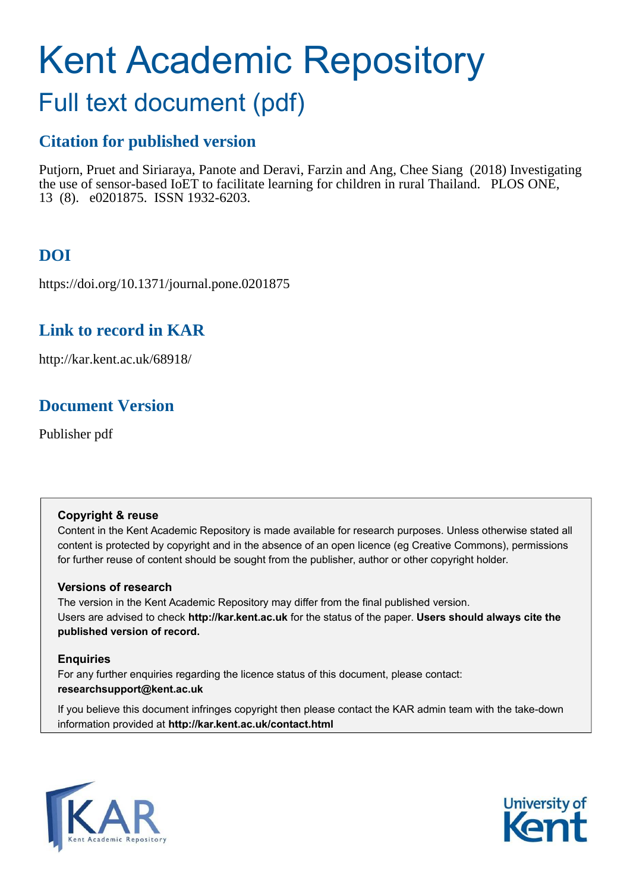# <span id="page-0-0"></span>Kent Academic Repository

# Full text document (pdf)

## **Citation for published version**

Putjorn, Pruet and Siriaraya, Panote and Deravi, Farzin and Ang, Chee Siang (2018) Investigating the use of sensor-based IoET to facilitate learning for children in rural Thailand. PLOS ONE, 13 (8). e0201875. ISSN 1932-6203.

## **DOI**

https://doi.org/10.1371/journal.pone.0201875

## **Link to record in KAR**

http://kar.kent.ac.uk/68918/

## **Document Version**

Publisher pdf

#### **Copyright & reuse**

Content in the Kent Academic Repository is made available for research purposes. Unless otherwise stated all content is protected by copyright and in the absence of an open licence (eg Creative Commons), permissions for further reuse of content should be sought from the publisher, author or other copyright holder.

#### **Versions of research**

The version in the Kent Academic Repository may differ from the final published version. Users are advised to check **http://kar.kent.ac.uk** for the status of the paper. **Users should always cite the published version of record.**

#### **Enquiries**

For any further enquiries regarding the licence status of this document, please contact: **researchsupport@kent.ac.uk**

If you believe this document infringes copyright then please contact the KAR admin team with the take-down information provided at **http://kar.kent.ac.uk/contact.html**



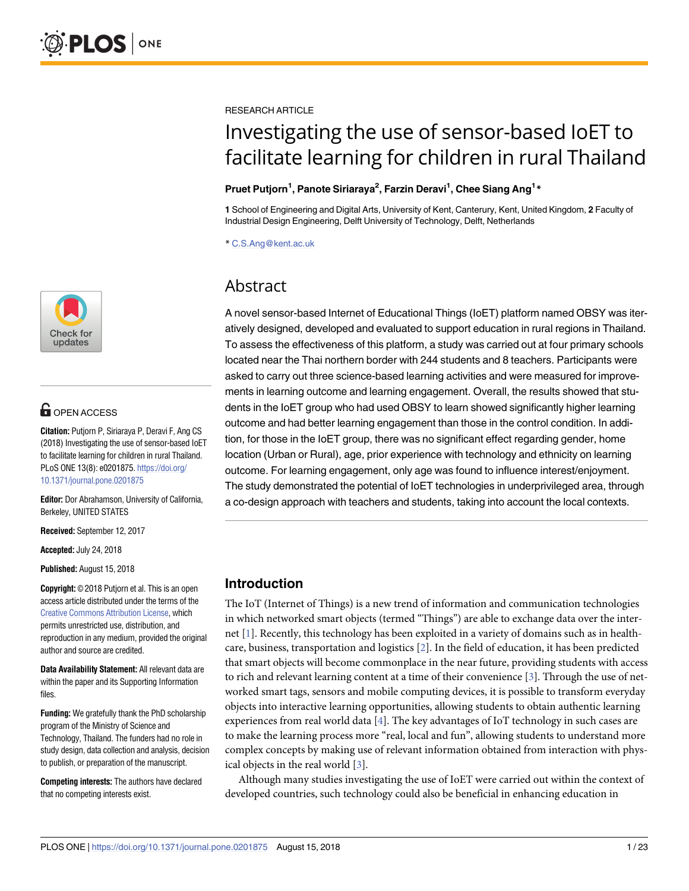

## **OPEN ACCESS**

**Citation:** Putjorn P, Siriaraya P, Deravi F, Ang CS (2018) Investigating the use of sensor-based IoET to facilitate learning for children in rural Thailand. PLoS ONE 13(8): e0201875. [https://doi.org/](https://doi.org/10.1371/journal.pone.0201875) [10.1371/journal.pone.0201875](https://doi.org/10.1371/journal.pone.0201875)

**Editor:** Dor Abrahamson, University of California, Berkeley, UNITED STATES

**Received:** September 12, 2017

**Accepted:** July 24, 2018

**Published:** August 15, 2018

**Copyright:** © 2018 Putjorn et al. This is an open access article distributed under the terms of the [Creative Commons Attribution License,](http://creativecommons.org/licenses/by/4.0/) which permits unrestricted use, distribution, and reproduction in any medium, provided the original author and source are credited.

**Data Availability Statement:** All relevant data are within the paper and its Supporting Information files.

**Funding:** We gratefully thank the PhD scholarship program of the Ministry of Science and Technology, Thailand. The funders had no role in study design, data collection and analysis, decision to publish, or preparation of the manuscript.

**Competing interests:** The authors have declared that no competing interests exist.

<span id="page-1-0"></span>RESEARCH ARTICLE

## Investigating the use of sensor-based IoET to facilitate learning for children in rural Thailand

#### **Pruet Putjorn<sup>1</sup> , Panote Siriaraya<sup>2</sup> , Farzin Deravi<sup>1</sup> , Chee Siang Ang<sup>1</sup> \***

**1** School of Engineering and Digital Arts, University of Kent, Canterury, Kent, United Kingdom, **2** Faculty of Industrial Design Engineering, Delft University of Technology, Delft, Netherlands

\* C.S.Ang@kent.ac.uk

### Abstract

A novel sensor-based Internet of Educational Things (IoET) platform named OBSY was iteratively designed, developed and evaluated to support education in rural regions in Thailand. To assess the effectiveness of this platform, a study was carried out at four primary schools located near the Thai northern border with 244 students and 8 teachers. Participants were asked to carry out three science-based learning activities and were measured for improvements in learning outcome and learning engagement. Overall, the results showed that students in the IoET group who had used OBSY to learn showed significantly higher learning outcome and had better learning engagement than those in the control condition. In addition, for those in the IoET group, there was no significant effect regarding gender, home location (Urban or Rural), age, prior experience with technology and ethnicity on learning outcome. For learning engagement, only age was found to influence interest/enjoyment. The study demonstrated the potential of IoET technologies in underprivileged area, through a co-design approach with teachers and students, taking into account the local contexts.

#### **Introduction**

The IoT (Internet of Things) is a new trend of information and communication technologies in which networked smart objects (termed "Things") are able to exchange data over the internet [\[1](#page-20-0)]. Recently, this technology has been exploited in a variety of domains such as in healthcare, business, transportation and logistics [[2](#page-20-0)]. In the field of education, it has been predicted that smart objects will become commonplace in the near future, providing students with access to rich and relevant learning content at a time of their convenience [[3\]](#page-20-0). Through the use of networked smart tags, sensors and mobile computing devices, it is possible to transform everyday objects into interactive learning opportunities, allowing students to obtain authentic learning experiences from real world data  $[4]$  $[4]$ . The key advantages of IoT technology in such cases are to make the learning process more "real, local and fun", allowing students to understand more complex concepts by making use of relevant information obtained from interaction with physical objects in the real world [[3\]](#page-20-0).

Although many studies investigating the use of IoET were carried out within the context of developed countries, such technology could also be beneficial in enhancing education in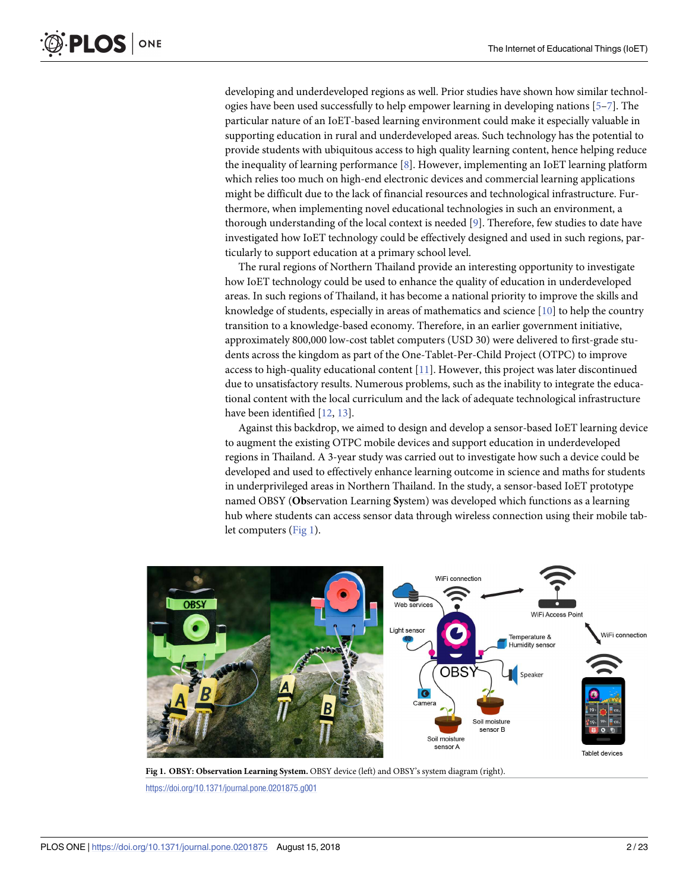developing and underdeveloped regions as well. Prior studies have shown how similar technologies have been used successfully to help empower learning in developing nations  $[5-7]$  $[5-7]$  $[5-7]$  $[5-7]$  $[5-7]$ . The particular nature of an IoET-based learning environment could make it especially valuable in supporting education in rural and underdeveloped areas. Such technology has the potential to provide students with ubiquitous access to high quality learning content, hence helping reduce the inequality of learning performance [[8\]](#page-20-0). However, implementing an IoET learning platform which relies too much on high-end electronic devices and commercial learning applications might be difficult due to the lack of financial resources and technological infrastructure. Furthermore, when implementing novel educational technologies in such an environment, a thorough understanding of the local context is needed [\[9](#page-20-0)]. Therefore, few studies to date have investigated how IoET technology could be effectively designed and used in such regions, particularly to support education at a primary school level.

The rural regions of Northern Thailand provide an interesting opportunity to investigate how IoET technology could be used to enhance the quality of education in underdeveloped areas. In such regions of Thailand, it has become a national priority to improve the skills and knowledge of students, especially in areas of mathematics and science [\[10\]](#page-20-0) to help the country transition to a knowledge-based economy. Therefore, in an earlier government initiative, approximately 800,000 low-cost tablet computers (USD 30) were delivered to first-grade students across the kingdom as part of the One-Tablet-Per-Child Project (OTPC) to improve access to high-quality educational content [\[11\]](#page-20-0). However, this project was later discontinued due to unsatisfactory results. Numerous problems, such as the inability to integrate the educational content with the local curriculum and the lack of adequate technological infrastructure have been identified [[12](#page-21-0), [13](#page-21-0)].

Against this backdrop, we aimed to design and develop a sensor-based IoET learning device to augment the existing OTPC mobile devices and support education in underdeveloped regions in Thailand. A 3-year study was carried out to investigate how such a device could be developed and used to effectively enhance learning outcome in science and maths for students in underprivileged areas in Northern Thailand. In the study, a sensor-based IoET prototype named OBSY (**Ob**servation Learning **Sy**stem) was developed which functions as a learning hub where students can access sensor data through wireless connection using their mobile tab-let computers [\(Fig 1\)](#page-1-0).



**[Fig 1.](#page-1-0) OBSY: Observation Learning System.** OBSY device (left) and OBSY's system diagram (right). <https://doi.org/10.1371/journal.pone.0201875.g001>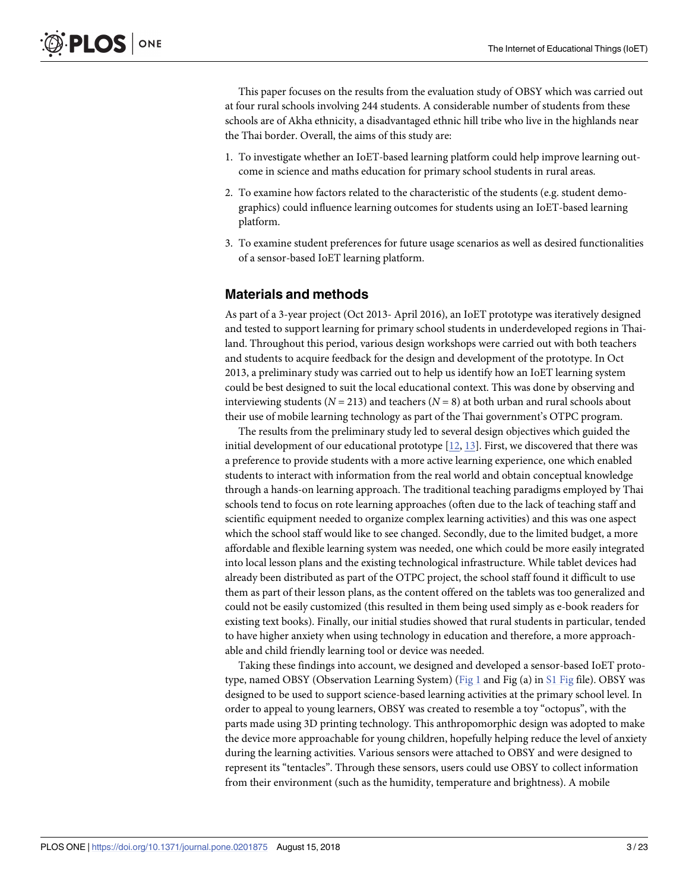<span id="page-3-0"></span>This paper focuses on the results from the evaluation study of OBSY which was carried out at four rural schools involving 244 students. A considerable number of students from these schools are of Akha ethnicity, a disadvantaged ethnic hill tribe who live in the highlands near the Thai border. Overall, the aims of this study are:

- 1. To investigate whether an IoET-based learning platform could help improve learning outcome in science and maths education for primary school students in rural areas.
- 2. To examine how factors related to the characteristic of the students (e.g. student demographics) could influence learning outcomes for students using an IoET-based learning platform.
- 3. To examine student preferences for future usage scenarios as well as desired functionalities of a sensor-based IoET learning platform.

#### **Materials and methods**

As part of a 3-year project (Oct 2013- April 2016), an IoET prototype was iteratively designed and tested to support learning for primary school students in underdeveloped regions in Thailand. Throughout this period, various design workshops were carried out with both teachers and students to acquire feedback for the design and development of the prototype. In Oct 2013, a preliminary study was carried out to help us identify how an IoET learning system could be best designed to suit the local educational context. This was done by observing and interviewing students ( $N = 213$ ) and teachers ( $N = 8$ ) at both urban and rural schools about their use of mobile learning technology as part of the Thai government's OTPC program.

The results from the preliminary study led to several design objectives which guided the initial development of our educational prototype  $[12, 13]$  $[12, 13]$  $[12, 13]$ . First, we discovered that there was a preference to provide students with a more active learning experience, one which enabled students to interact with information from the real world and obtain conceptual knowledge through a hands-on learning approach. The traditional teaching paradigms employed by Thai schools tend to focus on rote learning approaches (often due to the lack of teaching staff and scientific equipment needed to organize complex learning activities) and this was one aspect which the school staff would like to see changed. Secondly, due to the limited budget, a more affordable and flexible learning system was needed, one which could be more easily integrated into local lesson plans and the existing technological infrastructure. While tablet devices had already been distributed as part of the OTPC project, the school staff found it difficult to use them as part of their lesson plans, as the content offered on the tablets was too generalized and could not be easily customized (this resulted in them being used simply as e-book readers for existing text books). Finally, our initial studies showed that rural students in particular, tended to have higher anxiety when using technology in education and therefore, a more approachable and child friendly learning tool or device was needed.

Taking these findings into account, we designed and developed a sensor-based IoET prototype, named OBSY (Observation Learning System) ( $Fig 1$  and Fig (a) in  $S1$  Fig file). OBSY was designed to be used to support science-based learning activities at the primary school level. In order to appeal to young learners, OBSY was created to resemble a toy "octopus", with the parts made using 3D printing technology. This anthropomorphic design was adopted to make the device more approachable for young children, hopefully helping reduce the level of anxiety during the learning activities. Various sensors were attached to OBSY and were designed to represent its "tentacles". Through these sensors, users could use OBSY to collect information from their environment (such as the humidity, temperature and brightness). A mobile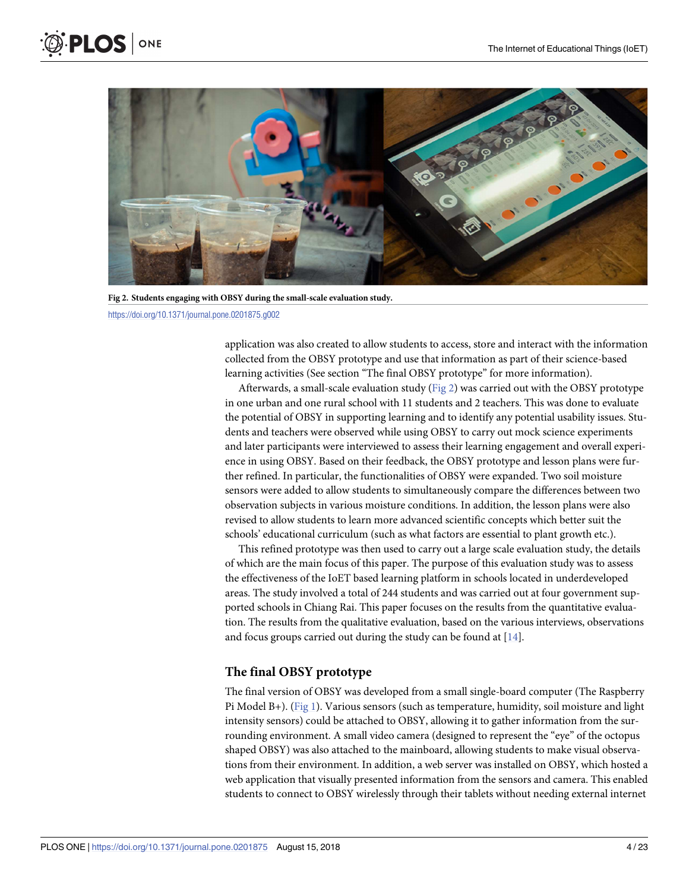<span id="page-4-0"></span>

**[Fig 2. S](#page-3-0)tudents engaging with OBSY during the small-scale evaluation study.** <https://doi.org/10.1371/journal.pone.0201875.g002>

application was also created to allow students to access, store and interact with the information collected from the OBSY prototype and use that information as part of their science-based learning activities (See section "The final OBSY prototype" for more information).

Afterwards, a small-scale evaluation study ( $Fig 2$ ) was carried out with the OBSY prototype in one urban and one rural school with 11 students and 2 teachers. This was done to evaluate the potential of OBSY in supporting learning and to identify any potential usability issues. Students and teachers were observed while using OBSY to carry out mock science experiments and later participants were interviewed to assess their learning engagement and overall experience in using OBSY. Based on their feedback, the OBSY prototype and lesson plans were further refined. In particular, the functionalities of OBSY were expanded. Two soil moisture sensors were added to allow students to simultaneously compare the differences between two observation subjects in various moisture conditions. In addition, the lesson plans were also revised to allow students to learn more advanced scientific concepts which better suit the schools' educational curriculum (such as what factors are essential to plant growth etc.).

This refined prototype was then used to carry out a large scale evaluation study, the details of which are the main focus of this paper. The purpose of this evaluation study was to assess the effectiveness of the IoET based learning platform in schools located in underdeveloped areas. The study involved a total of 244 students and was carried out at four government supported schools in Chiang Rai. This paper focuses on the results from the quantitative evaluation. The results from the qualitative evaluation, based on the various interviews, observations and focus groups carried out during the study can be found at  $[14]$  $[14]$  $[14]$ .

#### **The final OBSY prototype**

The final version of OBSY was developed from a small single-board computer (The Raspberry Pi Model B+). [\(Fig 1](#page-1-0)). Various sensors (such as temperature, humidity, soil moisture and light intensity sensors) could be attached to OBSY, allowing it to gather information from the surrounding environment. A small video camera (designed to represent the "eye" of the octopus shaped OBSY) was also attached to the mainboard, allowing students to make visual observations from their environment. In addition, a web server was installed on OBSY, which hosted a web application that visually presented information from the sensors and camera. This enabled students to connect to OBSY wirelessly through their tablets without needing external internet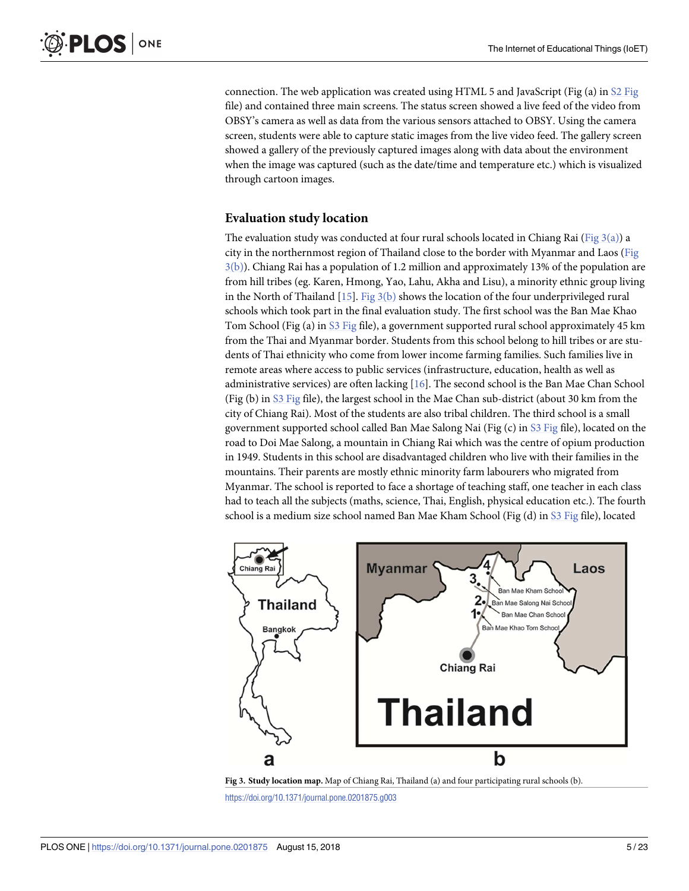<span id="page-5-0"></span>connection. The web application was created using HTML 5 and JavaScript (Fig (a) in  $S2$  Fig file) and contained three main screens. The status screen showed a live feed of the video from OBSY's camera as well as data from the various sensors attached to OBSY. Using the camera screen, students were able to capture static images from the live video feed. The gallery screen showed a gallery of the previously captured images along with data about the environment when the image was captured (such as the date/time and temperature etc.) which is visualized through cartoon images.

#### **Evaluation study location**

The evaluation study was conducted at four rural schools located in Chiang Rai (Fig  $3(a)$ ) a city in the northernmost region of Thailand close to the border with Myanmar and Laos [\(Fig](#page-4-0) [3\(b\)\)](#page-4-0). Chiang Rai has a population of 1.2 million and approximately 13% of the population are from hill tribes (eg. Karen, Hmong, Yao, Lahu, Akha and Lisu), a minority ethnic group living in the North of Thailand  $[15]$ . Fig  $3(b)$  shows the location of the four underprivileged rural schools which took part in the final evaluation study. The first school was the Ban Mae Khao Tom School (Fig (a) in [S3 Fig](#page-19-0) file), a government supported rural school approximately 45 km from the Thai and Myanmar border. Students from this school belong to hill tribes or are students of Thai ethnicity who come from lower income farming families. Such families live in remote areas where access to public services (infrastructure, education, health as well as administrative services) are often lacking [\[16\]](#page-21-0). The second school is the Ban Mae Chan School (Fig (b) in  $S3$  Fig file), the largest school in the Mae Chan sub-district (about 30 km from the city of Chiang Rai). Most of the students are also tribal children. The third school is a small government supported school called Ban Mae Salong Nai (Fig (c) in [S3 Fig](#page-19-0) file), located on the road to Doi Mae Salong, a mountain in Chiang Rai which was the centre of opium production in 1949. Students in this school are disadvantaged children who live with their families in the mountains. Their parents are mostly ethnic minority farm labourers who migrated from Myanmar. The school is reported to face a shortage of teaching staff, one teacher in each class had to teach all the subjects (maths, science, Thai, English, physical education etc.). The fourth school is a medium size school named Ban Mae Kham School (Fig (d) in [S3 Fig](#page-19-0) file), located



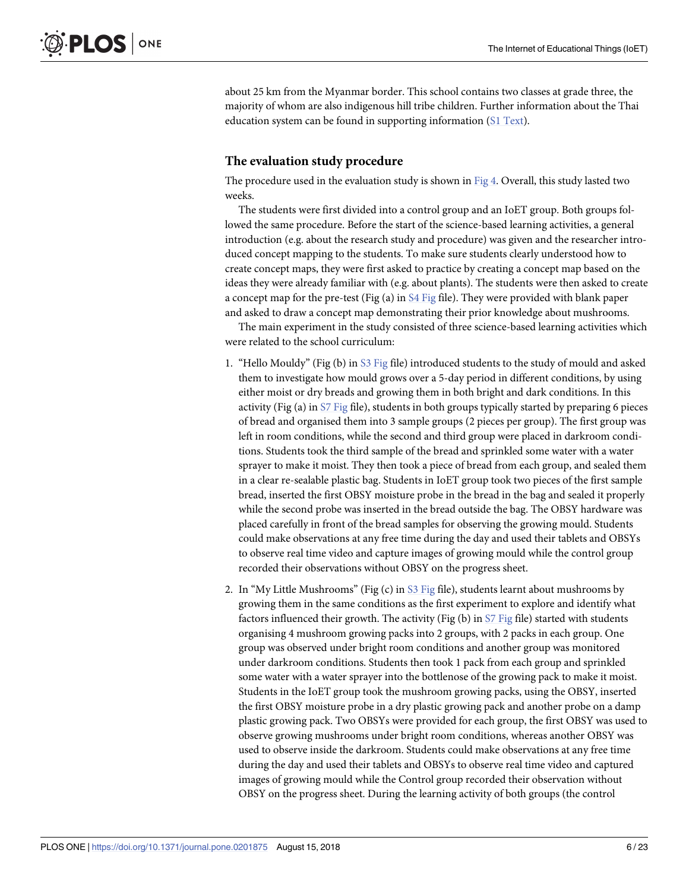about 25 km from the Myanmar border. This school contains two classes at grade three, the majority of whom are also indigenous hill tribe children. Further information about the Thai education system can be found in supporting information ([S1 Text](#page-19-0)).

#### **The evaluation study procedure**

The procedure used in the evaluation study is shown in Fig 4. Overall, this study lasted two weeks.

The students were first divided into a control group and an IoET group. Both groups followed the same procedure. Before the start of the science-based learning activities, a general introduction (e.g. about the research study and procedure) was given and the researcher introduced concept mapping to the students. To make sure students clearly understood how to create concept maps, they were first asked to practice by creating a concept map based on the ideas they were already familiar with (e.g. about plants). The students were then asked to create a concept map for the pre-test (Fig (a) in  $S4$  Fig file). They were provided with blank paper and asked to draw a concept map demonstrating their prior knowledge about mushrooms.

The main experiment in the study consisted of three science-based learning activities which were related to the school curriculum:

- 1. "Hello Mouldy" (Fig (b) in  $S3$  Fig file) introduced students to the study of mould and asked them to investigate how mould grows over a 5-day period in different conditions, by using either moist or dry breads and growing them in both bright and dark conditions. In this activity (Fig (a) in  $ST$  Fig file), students in both groups typically started by preparing 6 pieces of bread and organised them into 3 sample groups (2 pieces per group). The first group was left in room conditions, while the second and third group were placed in darkroom conditions. Students took the third sample of the bread and sprinkled some water with a water sprayer to make it moist. They then took a piece of bread from each group, and sealed them in a clear re-sealable plastic bag. Students in IoET group took two pieces of the first sample bread, inserted the first OBSY moisture probe in the bread in the bag and sealed it properly while the second probe was inserted in the bread outside the bag. The OBSY hardware was placed carefully in front of the bread samples for observing the growing mould. Students could make observations at any free time during the day and used their tablets and OBSYs to observe real time video and capture images of growing mould while the control group recorded their observations without OBSY on the progress sheet.
- 2. In "My Little Mushrooms" (Fig (c) in  $S3$  Fig file), students learnt about mushrooms by growing them in the same conditions as the first experiment to explore and identify what factors influenced their growth. The activity (Fig  $(b)$  in  $ST$  Fig file) started with students organising 4 mushroom growing packs into 2 groups, with 2 packs in each group. One group was observed under bright room conditions and another group was monitored under darkroom conditions. Students then took 1 pack from each group and sprinkled some water with a water sprayer into the bottlenose of the growing pack to make it moist. Students in the IoET group took the mushroom growing packs, using the OBSY, inserted the first OBSY moisture probe in a dry plastic growing pack and another probe on a damp plastic growing pack. Two OBSYs were provided for each group, the first OBSY was used to observe growing mushrooms under bright room conditions, whereas another OBSY was used to observe inside the darkroom. Students could make observations at any free time during the day and used their tablets and OBSYs to observe real time video and captured images of growing mould while the Control group recorded their observation without OBSY on the progress sheet. During the learning activity of both groups (the control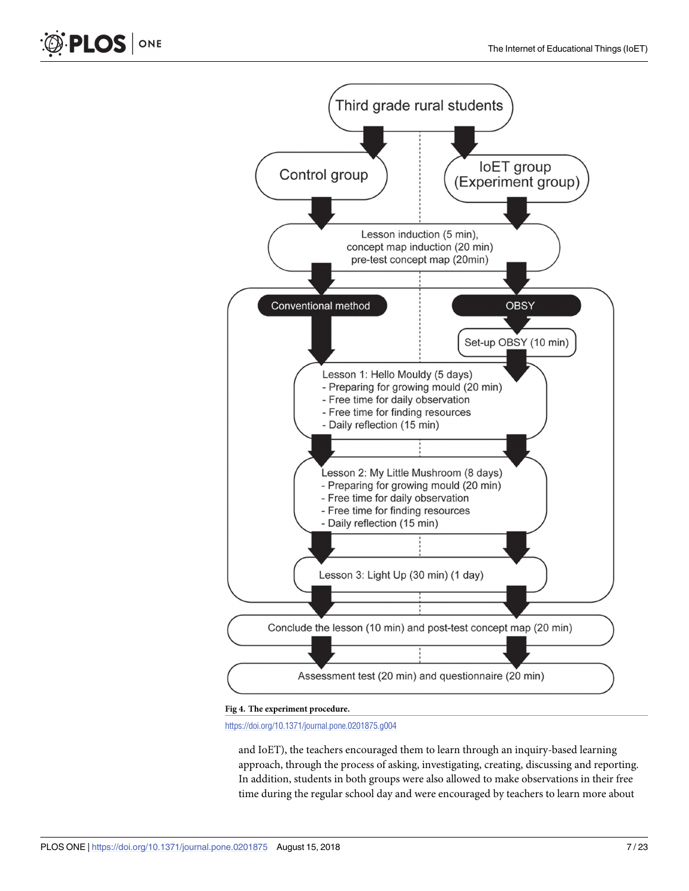

#### **[Fig 4. T](#page-5-0)he experiment procedure.**

<https://doi.org/10.1371/journal.pone.0201875.g004>

and IoET), the teachers encouraged them to learn through an inquiry-based learning approach, through the process of asking, investigating, creating, discussing and reporting. In addition, students in both groups were also allowed to make observations in their free time during the regular school day and were encouraged by teachers to learn more about

<span id="page-7-0"></span>PLOS ONE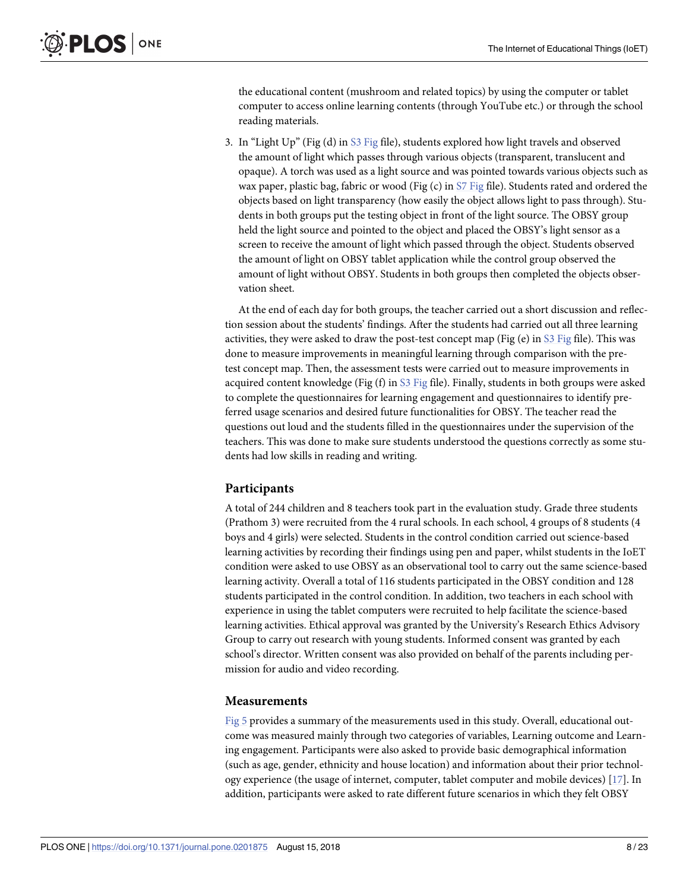<span id="page-8-0"></span>the educational content (mushroom and related topics) by using the computer or tablet computer to access online learning contents (through YouTube etc.) or through the school reading materials.

3. In "Light Up" (Fig (d) in  $S3$  Fig file), students explored how light travels and observed the amount of light which passes through various objects (transparent, translucent and opaque). A torch was used as a light source and was pointed towards various objects such as wax paper, plastic bag, fabric or wood (Fig  $(c)$  in  $ST$  Fig file). Students rated and ordered the objects based on light transparency (how easily the object allows light to pass through). Students in both groups put the testing object in front of the light source. The OBSY group held the light source and pointed to the object and placed the OBSY's light sensor as a screen to receive the amount of light which passed through the object. Students observed the amount of light on OBSY tablet application while the control group observed the amount of light without OBSY. Students in both groups then completed the objects observation sheet.

At the end of each day for both groups, the teacher carried out a short discussion and reflection session about the students' findings. After the students had carried out all three learning activities, they were asked to draw the post-test concept map (Fig (e) in  $S3$  Fig file). This was done to measure improvements in meaningful learning through comparison with the pretest concept map. Then, the assessment tests were carried out to measure improvements in acquired content knowledge (Fig (f) in [S3 Fig](#page-19-0) file). Finally, students in both groups were asked to complete the questionnaires for learning engagement and questionnaires to identify preferred usage scenarios and desired future functionalities for OBSY. The teacher read the questions out loud and the students filled in the questionnaires under the supervision of the teachers. This was done to make sure students understood the questions correctly as some students had low skills in reading and writing.

#### **Participants**

A total of 244 children and 8 teachers took part in the evaluation study. Grade three students (Prathom 3) were recruited from the 4 rural schools. In each school, 4 groups of 8 students (4 boys and 4 girls) were selected. Students in the control condition carried out science-based learning activities by recording their findings using pen and paper, whilst students in the IoET condition were asked to use OBSY as an observational tool to carry out the same science-based learning activity. Overall a total of 116 students participated in the OBSY condition and 128 students participated in the control condition. In addition, two teachers in each school with experience in using the tablet computers were recruited to help facilitate the science-based learning activities. Ethical approval was granted by the University's Research Ethics Advisory Group to carry out research with young students. Informed consent was granted by each school's director. Written consent was also provided on behalf of the parents including permission for audio and video recording.

#### **Measurements**

Fig 5 provides a summary of the measurements used in this study. Overall, educational outcome was measured mainly through two categories of variables, Learning outcome and Learning engagement. Participants were also asked to provide basic demographical information (such as age, gender, ethnicity and house location) and information about their prior technology experience (the usage of internet, computer, tablet computer and mobile devices)  $[17]$ . In addition, participants were asked to rate different future scenarios in which they felt OBSY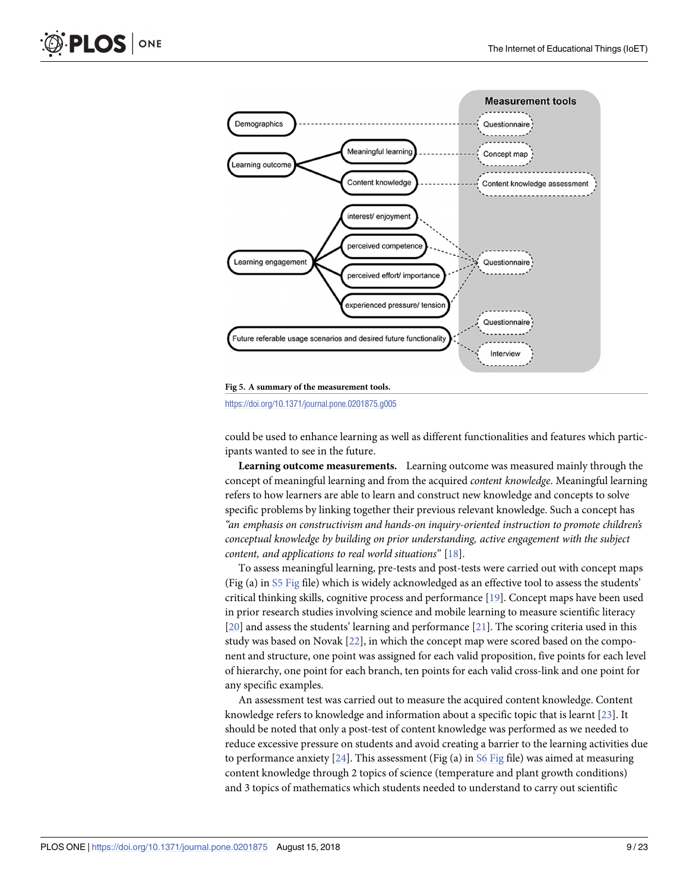<span id="page-9-0"></span>

#### **[Fig 5. A](#page-7-0) summary of the measurement tools.**

could be used to enhance learning as well as different functionalities and features which participants wanted to see in the future.

**Learning outcome measurements.** Learning outcome was measured mainly through the concept of meaningful learning and from the acquired content knowledge. Meaningful learning refers to how learners are able to learn and construct new knowledge and concepts to solve specific problems by linking together their previous relevant knowledge. Such a concept has "an emphasis on constructivism and hands-on inquiry-oriented instruction to promote children's conceptual knowledge by building on prior understanding, active engagement with the subject content, and applications to real world situations"  $[18]$ .

To assess meaningful learning, pre-tests and post-tests were carried out with concept maps (Fig (a) in [S5 Fig](#page-19-0) file) which is widely acknowledged as an effective tool to assess the students' critical thinking skills, cognitive process and performance [[19](#page-21-0)]. Concept maps have been used in prior research studies involving science and mobile learning to measure scientific literacy [\[20\]](#page-21-0) and assess the students' learning and performance [\[21](#page-21-0)]. The scoring criteria used in this study was based on Novak [\[22\]](#page-21-0), in which the concept map were scored based on the component and structure, one point was assigned for each valid proposition, five points for each level of hierarchy, one point for each branch, ten points for each valid cross-link and one point for any specific examples.

An assessment test was carried out to measure the acquired content knowledge. Content knowledge refers to knowledge and information about a specific topic that is learnt [[23](#page-21-0)]. It should be noted that only a post-test of content knowledge was performed as we needed to reduce excessive pressure on students and avoid creating a barrier to the learning activities due to performance anxiety  $[24]$ . This assessment (Fig (a) in  $S6$  Fig file) was aimed at measuring content knowledge through 2 topics of science (temperature and plant growth conditions) and 3 topics of mathematics which students needed to understand to carry out scientific

<https://doi.org/10.1371/journal.pone.0201875.g005>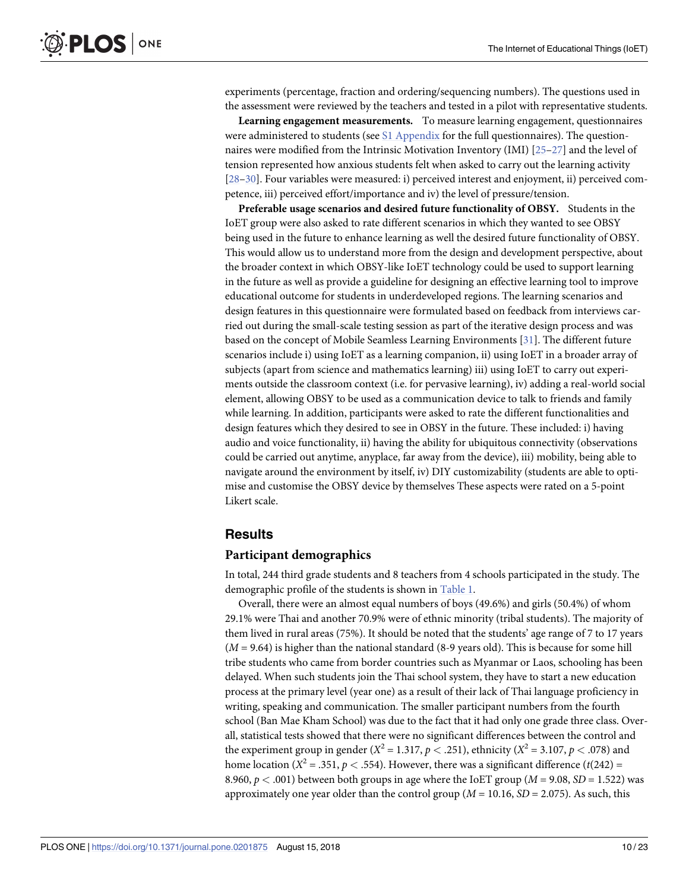<span id="page-10-0"></span>experiments (percentage, fraction and ordering/sequencing numbers). The questions used in the assessment were reviewed by the teachers and tested in a pilot with representative students.

**Learning engagement measurements.** To measure learning engagement, questionnaires were administered to students (see  $S1$  Appendix for the full questionnaires). The questionnaires were modified from the Intrinsic Motivation Inventory (IMI) [[25](#page-21-0)–[27](#page-21-0)] and the level of tension represented how anxious students felt when asked to carry out the learning activity [\[28–30\]](#page-21-0). Four variables were measured: i) perceived interest and enjoyment, ii) perceived competence, iii) perceived effort/importance and iv) the level of pressure/tension.

**Preferable usage scenarios and desired future functionality of OBSY.** Students in the IoET group were also asked to rate different scenarios in which they wanted to see OBSY being used in the future to enhance learning as well the desired future functionality of OBSY. This would allow us to understand more from the design and development perspective, about the broader context in which OBSY-like IoET technology could be used to support learning in the future as well as provide a guideline for designing an effective learning tool to improve educational outcome for students in underdeveloped regions. The learning scenarios and design features in this questionnaire were formulated based on feedback from interviews carried out during the small-scale testing session as part of the iterative design process and was based on the concept of Mobile Seamless Learning Environments [\[31\]](#page-21-0). The different future scenarios include i) using IoET as a learning companion, ii) using IoET in a broader array of subjects (apart from science and mathematics learning) iii) using IoET to carry out experiments outside the classroom context (i.e. for pervasive learning), iv) adding a real-world social element, allowing OBSY to be used as a communication device to talk to friends and family while learning. In addition, participants were asked to rate the different functionalities and design features which they desired to see in OBSY in the future. These included: i) having audio and voice functionality, ii) having the ability for ubiquitous connectivity (observations could be carried out anytime, anyplace, far away from the device), iii) mobility, being able to navigate around the environment by itself, iv) DIY customizability (students are able to optimise and customise the OBSY device by themselves These aspects were rated on a 5-point Likert scale.

#### **Results**

#### **Participant demographics**

In total, 244 third grade students and 8 teachers from 4 schools participated in the study. The demographic profile of the students is shown in Table 1.

Overall, there were an almost equal numbers of boys (49.6%) and girls (50.4%) of whom 29.1% were Thai and another 70.9% were of ethnic minority (tribal students). The majority of them lived in rural areas (75%). It should be noted that the students' age range of 7 to 17 years  $(M = 9.64)$  is higher than the national standard (8-9 years old). This is because for some hill tribe students who came from border countries such as Myanmar or Laos, schooling has been delayed. When such students join the Thai school system, they have to start a new education process at the primary level (year one) as a result of their lack of Thai language proficiency in writing, speaking and communication. The smaller participant numbers from the fourth school (Ban Mae Kham School) was due to the fact that it had only one grade three class. Overall, statistical tests showed that there were no significant differences between the control and the experiment group in gender ( $X^2 = 1.317$ ,  $p < .251$ ), ethnicity ( $X^2 = 3.107$ ,  $p < .078$ ) and home location ( $X^2 = .351$ ,  $p < .554$ ). However, there was a significant difference ( $t(242) =$ 8.960,  $p < .001$ ) between both groups in age where the IoET group ( $M = 9.08$ ,  $SD = 1.522$ ) was approximately one year older than the control group ( $M = 10.16$ ,  $SD = 2.075$ ). As such, this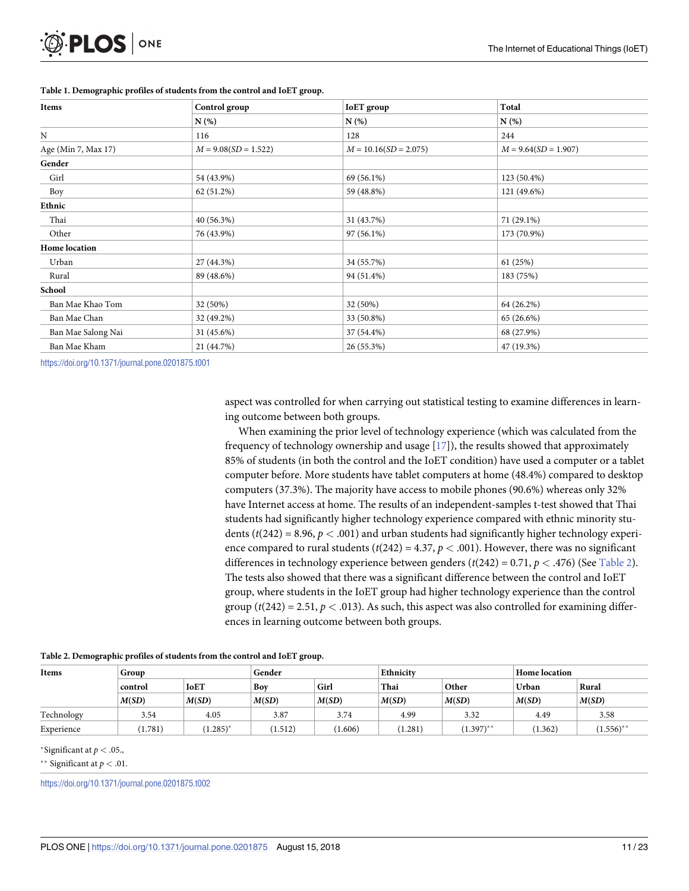| Items                | Control group          | IoET group              | Total                  |  |
|----------------------|------------------------|-------------------------|------------------------|--|
|                      | N(%)                   | N(%)                    | N(%)                   |  |
| N                    | 116                    | 128                     | 244                    |  |
| Age (Min 7, Max 17)  | $M = 9.08(SD = 1.522)$ | $M = 10.16(SD = 2.075)$ | $M = 9.64(SD = 1.907)$ |  |
| Gender               |                        |                         |                        |  |
| Girl                 | 54 (43.9%)             | 69 (56.1%)              | 123 (50.4%)            |  |
| Boy                  | 62 (51.2%)             | 59 (48.8%)              | 121 (49.6%)            |  |
| Ethnic               |                        |                         |                        |  |
| Thai                 | 40 (56.3%)             | 31 (43.7%)              | 71 (29.1%)             |  |
| Other                | 76 (43.9%)             | 97 (56.1%)              | 173 (70.9%)            |  |
| <b>Home</b> location |                        |                         |                        |  |
| Urban                | 27 (44.3%)             | 34 (55.7%)              | 61 (25%)               |  |
| Rural                | 89 (48.6%)             | 94 (51.4%)              | 183 (75%)              |  |
| School               |                        |                         |                        |  |
| Ban Mae Khao Tom     | 32 (50%)               | 32 (50%)                | 64 (26.2%)             |  |
| Ban Mae Chan         | 32 (49.2%)             | 33 (50.8%)              | 65 (26.6%)             |  |
| Ban Mae Salong Nai   | 31 (45.6%)             | 37 (54.4%)              | 68 (27.9%)             |  |
| Ban Mae Kham         | 21 (44.7%)             | 26 (55.3%)              | 47 (19.3%)             |  |

#### **[Table 1.](#page-9-0) Demographic profiles of students from the control and IoET group.**

<https://doi.org/10.1371/journal.pone.0201875.t001>

<span id="page-11-0"></span>PLOS ONE

aspect was controlled for when carrying out statistical testing to examine differences in learning outcome between both groups.

When examining the prior level of technology experience (which was calculated from the frequency of technology ownership and usage  $[17]$  $[17]$  $[17]$ ), the results showed that approximately 85% of students (in both the control and the IoET condition) have used a computer or a tablet computer before. More students have tablet computers at home (48.4%) compared to desktop computers (37.3%). The majority have access to mobile phones (90.6%) whereas only 32% have Internet access at home. The results of an independent-samples t-test showed that Thai students had significantly higher technology experience compared with ethnic minority students  $(t(242) = 8.96, p < .001)$  and urban students had significantly higher technology experience compared to rural students  $(t(242) = 4.37, p < .001)$ . However, there was no significant differences in technology experience between genders (t(242) = 0.71, p *<* .476) (See [Table 2\)](#page-10-0). The tests also showed that there was a significant difference between the control and IoET group, where students in the IoET group had higher technology experience than the control group ( $t(242) = 2.51$ ,  $p < .013$ ). As such, this aspect was also controlled for examining differences in learning outcome between both groups.

| Items      | Group   |             | Gender |         | Ethnicity |              | <b>Home</b> location |              |
|------------|---------|-------------|--------|---------|-----------|--------------|----------------------|--------------|
|            | control | <b>IoET</b> | Boy    | Girl    | Thai      | Other        | Urban                | Rural        |
|            | M(SD)   | M(SD)       | M(SD)  | M(SD)   | M(SD)     | M(SD)        | M(SD)                | M(SD)        |
| Technology | 3.54    | 4.05        | 3.87   | 3.74    | 4.99      | 3.32         | 4.49                 | 3.58         |
| Experience | 1.781   | $(1.285)^*$ | 1.512) | (1.606) | 1.281     | $(1.397)$ ** | (1.362)              | $(1.556)$ ** |

| Table 2. Demographic profiles of students from the control and IoET group. |
|----------------------------------------------------------------------------|
|----------------------------------------------------------------------------|

Significant at p *<* .05.,

 $^{**}$  Significant at  $p<.01.$ 

<https://doi.org/10.1371/journal.pone.0201875.t002>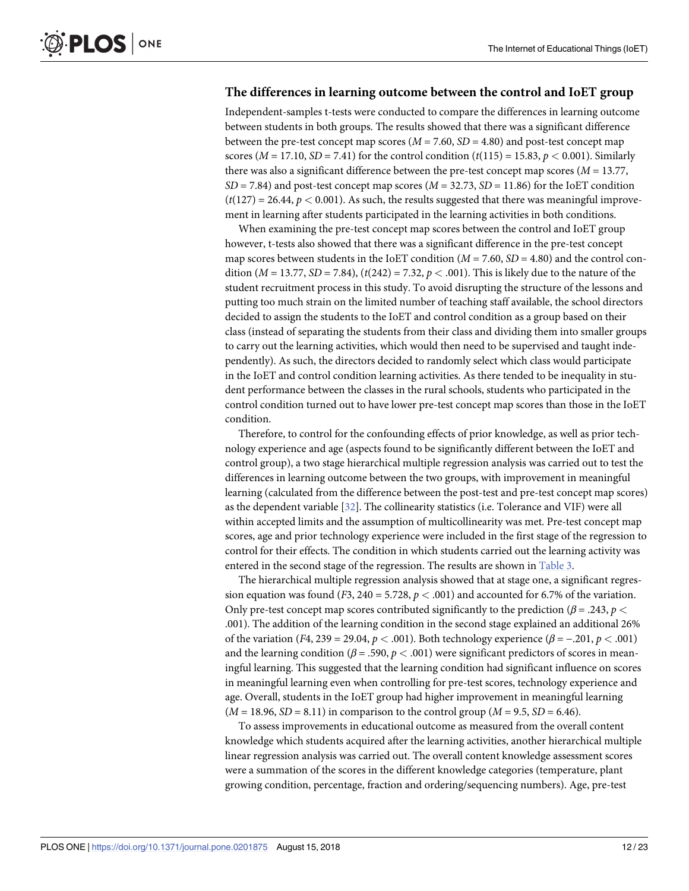#### <span id="page-12-0"></span>**The differences in learning outcome between the control and IoET group**

Independent-samples t-tests were conducted to compare the differences in learning outcome between students in both groups. The results showed that there was a significant difference between the pre-test concept map scores ( $M = 7.60$ ,  $SD = 4.80$ ) and post-test concept map scores  $(M = 17.10, SD = 7.41)$  for the control condition  $(t(115) = 15.83, p < 0.001)$ . Similarly there was also a significant difference between the pre-test concept map scores ( $M = 13.77$ ,  $SD = 7.84$ ) and post-test concept map scores ( $M = 32.73$ ,  $SD = 11.86$ ) for the IoET condition  $(t(127) = 26.44, p < 0.001)$ . As such, the results suggested that there was meaningful improvement in learning after students participated in the learning activities in both conditions.

When examining the pre-test concept map scores between the control and IoET group however, t-tests also showed that there was a significant difference in the pre-test concept map scores between students in the IoET condition ( $M = 7.60$ ,  $SD = 4.80$ ) and the control condition ( $M = 13.77$ ,  $SD = 7.84$ ), ( $t(242) = 7.32$ ,  $p < .001$ ). This is likely due to the nature of the student recruitment process in this study. To avoid disrupting the structure of the lessons and putting too much strain on the limited number of teaching staff available, the school directors decided to assign the students to the IoET and control condition as a group based on their class (instead of separating the students from their class and dividing them into smaller groups to carry out the learning activities, which would then need to be supervised and taught independently). As such, the directors decided to randomly select which class would participate in the IoET and control condition learning activities. As there tended to be inequality in student performance between the classes in the rural schools, students who participated in the control condition turned out to have lower pre-test concept map scores than those in the IoET condition.

Therefore, to control for the confounding effects of prior knowledge, as well as prior technology experience and age (aspects found to be significantly different between the IoET and control group), a two stage hierarchical multiple regression analysis was carried out to test the differences in learning outcome between the two groups, with improvement in meaningful learning (calculated from the difference between the post-test and pre-test concept map scores) as the dependent variable [\[32\]](#page-21-0). The collinearity statistics (i.e. Tolerance and VIF) were all within accepted limits and the assumption of multicollinearity was met. Pre-test concept map scores, age and prior technology experience were included in the first stage of the regression to control for their effects. The condition in which students carried out the learning activity was entered in the second stage of the regression. The results are shown in Table 3.

The hierarchical multiple regression analysis showed that at stage one, a significant regression equation was found (F3,  $240 = 5.728$ ,  $p < .001$ ) and accounted for 6.7% of the variation. Only pre-test concept map scores contributed significantly to the prediction ( $\beta$  = .243,  $p$  < .001). The addition of the learning condition in the second stage explained an additional 26% of the variation (F4, 239 = 29.04, p *<* .001). Both technology experience (*E* = −.201, p *<* .001) and the learning condition ( $\beta$  = .590,  $p$  < .001) were significant predictors of scores in meaningful learning. This suggested that the learning condition had significant influence on scores in meaningful learning even when controlling for pre-test scores, technology experience and age. Overall, students in the IoET group had higher improvement in meaningful learning  $(M = 18.96, SD = 8.11)$  in comparison to the control group  $(M = 9.5, SD = 6.46)$ .

To assess improvements in educational outcome as measured from the overall content knowledge which students acquired after the learning activities, another hierarchical multiple linear regression analysis was carried out. The overall content knowledge assessment scores were a summation of the scores in the different knowledge categories (temperature, plant growing condition, percentage, fraction and ordering/sequencing numbers). Age, pre-test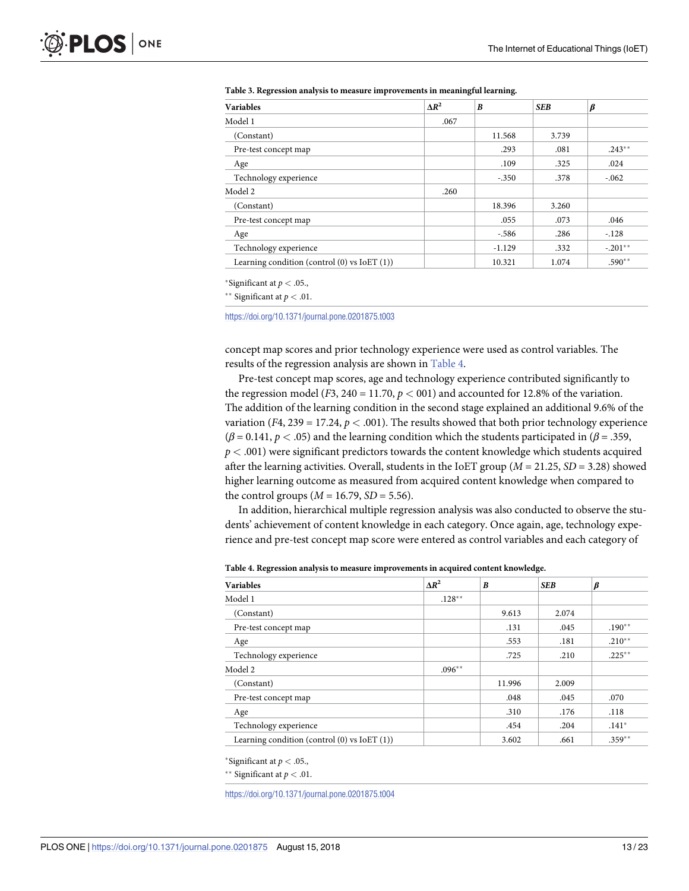| <b>Variables</b>                                  | $\Delta R^2$ | B        | <b>SEB</b> | β         |
|---------------------------------------------------|--------------|----------|------------|-----------|
| Model 1                                           | .067         |          |            |           |
| (Constant)                                        |              | 11.568   | 3.739      |           |
| Pre-test concept map                              |              | .293     | .081       | $.243**$  |
| Age                                               |              | .109     | .325       | .024      |
| Technology experience                             |              | $-.350$  | .378       | $-.062$   |
| Model 2                                           | .260         |          |            |           |
| (Constant)                                        |              | 18.396   | 3.260      |           |
| Pre-test concept map                              |              | .055     | .073       | .046      |
| Age                                               |              | $-.586$  | .286       | $-.128$   |
| Technology experience                             |              | $-1.129$ | .332       | $-.201**$ |
| Learning condition (control $(0)$ vs IoET $(1)$ ) |              | 10.321   | 1.074      | $.590**$  |

<span id="page-13-0"></span>**[Table 3.](#page-11-0) Regression analysis to measure improvements in meaningful learning.**

Significant at p *<* .05.,

 $^{\ast\ast}$  Significant at  $p<.01.$ 

<https://doi.org/10.1371/journal.pone.0201875.t003>

concept map scores and prior technology experience were used as control variables. The results of the regression analysis are shown in [Table 4.](#page-12-0)

Pre-test concept map scores, age and technology experience contributed significantly to the regression model (F3, 240 = 11.70,  $p < 001$ ) and accounted for 12.8% of the variation. The addition of the learning condition in the second stage explained an additional 9.6% of the variation (F4, 239 = 17.24,  $p < .001$ ). The results showed that both prior technology experience  $(\beta = 0.141, p < .05)$  and the learning condition which the students participated in  $(\beta = .359,$ p *<* .001) were significant predictors towards the content knowledge which students acquired after the learning activities. Overall, students in the IoET group ( $M = 21.25$ ,  $SD = 3.28$ ) showed higher learning outcome as measured from acquired content knowledge when compared to the control groups ( $M = 16.79$ ,  $SD = 5.56$ ).

In addition, hierarchical multiple regression analysis was also conducted to observe the students' achievement of content knowledge in each category. Once again, age, technology experience and pre-test concept map score were entered as control variables and each category of

| <b>Variables</b>                                  | $\Delta R^2$ | B      | <b>SEB</b> | $\beta$   |
|---------------------------------------------------|--------------|--------|------------|-----------|
| Model 1                                           | $.128**$     |        |            |           |
| (Constant)                                        |              | 9.613  | 2.074      |           |
| Pre-test concept map                              |              | .131   | .045       | $.190**$  |
| Age                                               |              | .553   | .181       | $.210**$  |
| Technology experience                             |              | .725   | .210       | $.225***$ |
| Model 2                                           | $.096**$     |        |            |           |
| (Constant)                                        |              | 11.996 | 2.009      |           |
| Pre-test concept map                              |              | .048   | .045       | .070      |
| Age                                               |              | .310   | .176       | .118      |
| Technology experience                             |              | .454   | .204       | $.141*$   |
| Learning condition (control $(0)$ vs IoET $(1)$ ) |              | 3.602  | .661       | $.359**$  |

Significant at p *<* .05.,

Significant at p *<* .01.

<https://doi.org/10.1371/journal.pone.0201875.t004>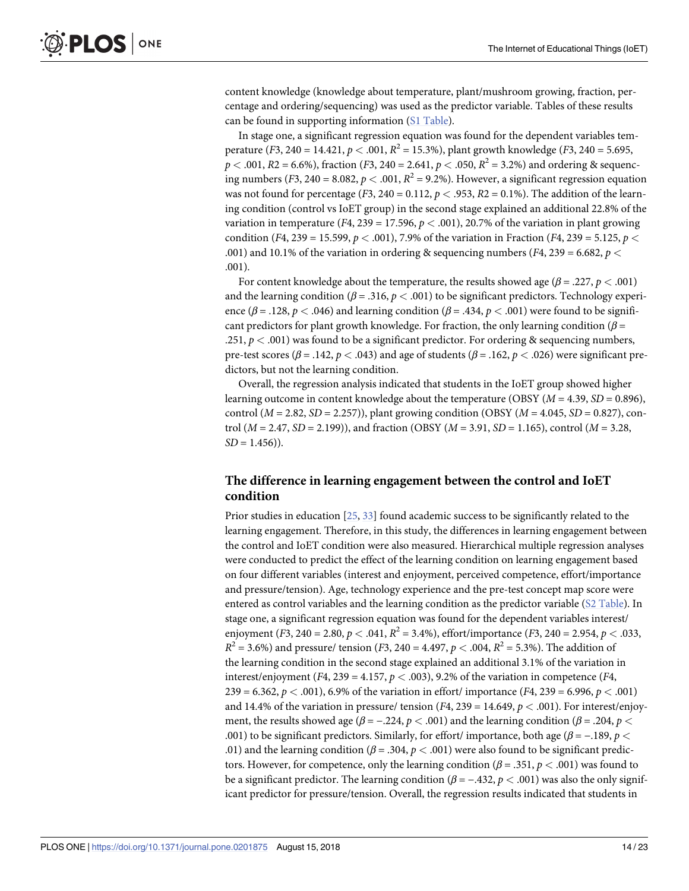<span id="page-14-0"></span>content knowledge (knowledge about temperature, plant/mushroom growing, fraction, percentage and ordering/sequencing) was used as the predictor variable. Tables of these results can be found in supporting information [\(S1 Table](#page-19-0)).

In stage one, a significant regression equation was found for the dependent variables temperature (*F*3, 240 = 14.421,  $p < .001$ ,  $R^2 = 15.3$ %), plant growth knowledge (*F*3, 240 = 5.695,  $p < .001$ , R2 = 6.6%), fraction (F3, 240 = 2.641,  $p < .050$ ,  $R^2$  = 3.2%) and ordering & sequencing numbers (F3, 240 = 8.082,  $p < .001$ ,  $R^2 = 9.2$ %). However, a significant regression equation was not found for percentage  $(F3, 240 = 0.112, p < .953, R2 = 0.1\%)$ . The addition of the learning condition (control vs IoET group) in the second stage explained an additional 22.8% of the variation in temperature ( $F4$ , 239 = 17.596,  $p < .001$ ), 20.7% of the variation in plant growing condition (F4, 239 = 15.599, p *<* .001), 7.9% of the variation in Fraction (F4, 239 = 5.125, p *<* .001) and 10.1% of the variation in ordering & sequencing numbers (F4, 239 = 6.682, p *<* .001).

For content knowledge about the temperature, the results showed age ( $\beta = .227$ ,  $p < .001$ ) and the learning condition ( $\beta$  = .316,  $p$  < .001) to be significant predictors. Technology experience ( $\beta$  = .128,  $p < .046$ ) and learning condition ( $\beta$  = .434,  $p < .001$ ) were found to be significant predictors for plant growth knowledge. For fraction, the only learning condition  $(\beta =$ .251,  $p < .001$ ) was found to be a significant predictor. For ordering & sequencing numbers, pre-test scores ( $\beta$  = .142,  $p$  < .043) and age of students ( $\beta$  = .162,  $p$  < .026) were significant predictors, but not the learning condition.

Overall, the regression analysis indicated that students in the IoET group showed higher learning outcome in content knowledge about the temperature (OBSY  $(M = 4.39, SD = 0.896)$ , control ( $M = 2.82$ ,  $SD = 2.257$ )), plant growing condition (OBSY ( $M = 4.045$ ,  $SD = 0.827$ ), control ( $M = 2.47$ ,  $SD = 2.199$ )), and fraction (OBSY ( $M = 3.91$ ,  $SD = 1.165$ ), control ( $M = 3.28$ ,  $SD = 1.456$ ).

#### **The difference in learning engagement between the control and IoET condition**

Prior studies in education [\[25,](#page-21-0) [33\]](#page-21-0) found academic success to be significantly related to the learning engagement. Therefore, in this study, the differences in learning engagement between the control and IoET condition were also measured. Hierarchical multiple regression analyses were conducted to predict the effect of the learning condition on learning engagement based on four different variables (interest and enjoyment, perceived competence, effort/importance and pressure/tension). Age, technology experience and the pre-test concept map score were entered as control variables and the learning condition as the predictor variable [\(S2 Table](#page-19-0)). In stage one, a significant regression equation was found for the dependent variables interest/ enjoyment (F3, 240 = 2.80, p *<* .041, R 2 = 3.4%), effort/importance (F3, 240 = 2.954, p *<* .033,  $R^2 = 3.6\%$ ) and pressure/ tension (F3, 240 = 4.497,  $p < .004$ ,  $R^2 = 5.3\%$ ). The addition of the learning condition in the second stage explained an additional 3.1% of the variation in interest/enjoyment (F4, 239 = 4.157,  $p < .003$ ), 9.2% of the variation in competence (F4, 239 = 6.362, p *<* .001), 6.9% of the variation in effort/ importance (F4, 239 = 6.996, p *<* .001) and 14.4% of the variation in pressure/ tension  $(F4, 239 = 14.649, p < .001)$ . For interest/enjoyment, the results showed age ( $\beta = -.224$ ,  $p < .001$ ) and the learning condition ( $\beta = .204$ ,  $p <$ .001) to be significant predictors. Similarly, for effort/ importance, both age ( $\beta$  = −.189,  $p$  < .01) and the learning condition ( $\beta = .304$ ,  $p < .001$ ) were also found to be significant predictors. However, for competence, only the learning condition ( $\beta$  = .351,  $p$  < .001) was found to be a significant predictor. The learning condition ( $\beta = -.432$ ,  $p < .001$ ) was also the only significant predictor for pressure/tension. Overall, the regression results indicated that students in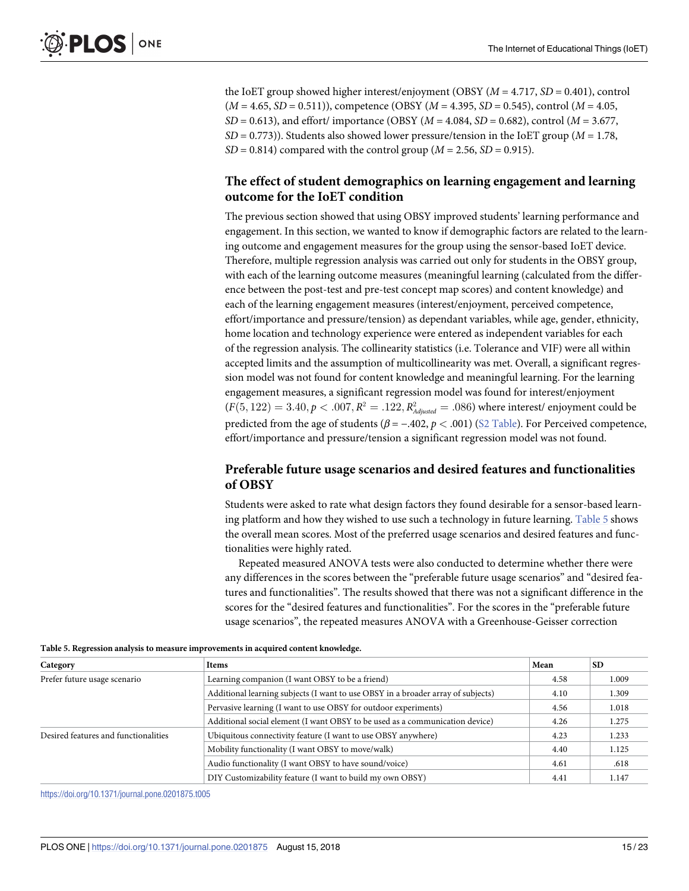<span id="page-15-0"></span>the IoET group showed higher interest/enjoyment (OBSY  $(M = 4.717, SD = 0.401)$ , control  $(M = 4.65, SD = 0.511)$ , competence (OBSY  $(M = 4.395, SD = 0.545)$ , control  $(M = 4.05,$  $SD = 0.613$ ), and effort/ importance (OBSY ( $M = 4.084$ ,  $SD = 0.682$ ), control ( $M = 3.677$ ,  $SD = 0.773$ ). Students also showed lower pressure/tension in the IoET group ( $M = 1.78$ ,  $SD = 0.814$ ) compared with the control group ( $M = 2.56$ ,  $SD = 0.915$ ).

#### **The effect of student demographics on learning engagement and learning outcome for the IoET condition**

The previous section showed that using OBSY improved students' learning performance and engagement. In this section, we wanted to know if demographic factors are related to the learning outcome and engagement measures for the group using the sensor-based IoET device. Therefore, multiple regression analysis was carried out only for students in the OBSY group, with each of the learning outcome measures (meaningful learning (calculated from the difference between the post-test and pre-test concept map scores) and content knowledge) and each of the learning engagement measures (interest/enjoyment, perceived competence, effort/importance and pressure/tension) as dependant variables, while age, gender, ethnicity, home location and technology experience were entered as independent variables for each of the regression analysis. The collinearity statistics (i.e. Tolerance and VIF) were all within accepted limits and the assumption of multicollinearity was met. Overall, a significant regression model was not found for content knowledge and meaningful learning. For the learning engagement measures, a significant regression model was found for interest/enjoyment  $(F(5, 122) = 3.40, p < .007, R^2 = .122, R^2_{\text{adjusted}} = .086)$  where interest/ enjoyment could be predicted from the age of students  $(\beta = -.402, p < .001)$  ([S2 Table](#page-19-0)). For Perceived competence, effort/importance and pressure/tension a significant regression model was not found.

#### **Preferable future usage scenarios and desired features and functionalities of OBSY**

Students were asked to rate what design factors they found desirable for a sensor-based learning platform and how they wished to use such a technology in future learning. [Table 5](#page-14-0) shows the overall mean scores. Most of the preferred usage scenarios and desired features and functionalities were highly rated.

Repeated measured ANOVA tests were also conducted to determine whether there were any differences in the scores between the "preferable future usage scenarios" and "desired features and functionalities". The results showed that there was not a significant difference in the scores for the "desired features and functionalities". For the scores in the "preferable future usage scenarios", the repeated measures ANOVA with a Greenhouse-Geisser correction

| Category                             | Items                                                                            | Mean | <b>SD</b> |
|--------------------------------------|----------------------------------------------------------------------------------|------|-----------|
| Prefer future usage scenario         | Learning companion (I want OBSY to be a friend)                                  | 4.58 | 1.009     |
|                                      | Additional learning subjects (I want to use OBSY in a broader array of subjects) | 4.10 | 1.309     |
|                                      | Pervasive learning (I want to use OBSY for outdoor experiments)                  | 4.56 | 1.018     |
|                                      | Additional social element (I want OBSY to be used as a communication device)     | 4.26 | 1.275     |
| Desired features and functionalities | Ubiquitous connectivity feature (I want to use OBSY anywhere)                    | 4.23 | 1.233     |
|                                      | Mobility functionality (I want OBSY to move/walk)                                | 4.40 | 1.125     |
|                                      | Audio functionality (I want OBSY to have sound/voice)                            | 4.61 | .618      |
|                                      | DIY Customizability feature (I want to build my own OBSY)                        | 4.41 | 1.147     |

**[Table 5.](#page-14-0) Regression analysis to measure improvements in acquired content knowledge.**

<https://doi.org/10.1371/journal.pone.0201875.t005>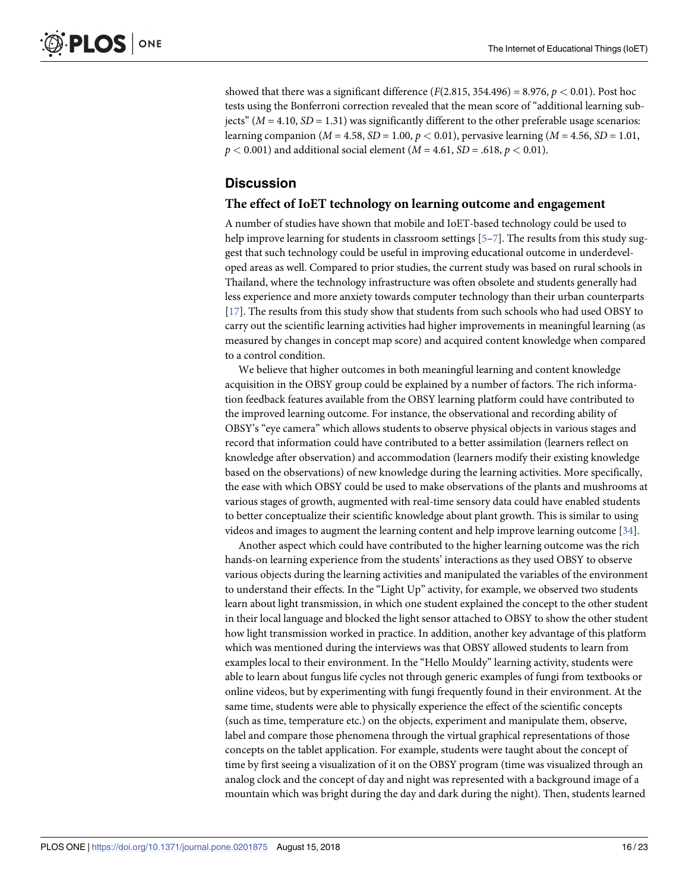<span id="page-16-0"></span>showed that there was a significant difference  $(F(2.815, 354.496) = 8.976, p < 0.01)$ . Post hoc tests using the Bonferroni correction revealed that the mean score of "additional learning subjects" ( $M = 4.10$ ,  $SD = 1.31$ ) was significantly different to the other preferable usage scenarios: learning companion ( $M = 4.58$ ,  $SD = 1.00$ ,  $p < 0.01$ ), pervasive learning ( $M = 4.56$ ,  $SD = 1.01$ ,  $p < 0.001$ ) and additional social element ( $M = 4.61$ ,  $SD = .618$ ,  $p < 0.01$ ).

#### **Discussion**

#### **The effect of IoET technology on learning outcome and engagement**

A number of studies have shown that mobile and IoET-based technology could be used to help improve learning for students in classroom settings  $[5-7]$ . The results from this study suggest that such technology could be useful in improving educational outcome in underdeveloped areas as well. Compared to prior studies, the current study was based on rural schools in Thailand, where the technology infrastructure was often obsolete and students generally had less experience and more anxiety towards computer technology than their urban counterparts [\[17\]](#page-21-0). The results from this study show that students from such schools who had used OBSY to carry out the scientific learning activities had higher improvements in meaningful learning (as measured by changes in concept map score) and acquired content knowledge when compared to a control condition.

We believe that higher outcomes in both meaningful learning and content knowledge acquisition in the OBSY group could be explained by a number of factors. The rich information feedback features available from the OBSY learning platform could have contributed to the improved learning outcome. For instance, the observational and recording ability of OBSY's "eye camera" which allows students to observe physical objects in various stages and record that information could have contributed to a better assimilation (learners reflect on knowledge after observation) and accommodation (learners modify their existing knowledge based on the observations) of new knowledge during the learning activities. More specifically, the ease with which OBSY could be used to make observations of the plants and mushrooms at various stages of growth, augmented with real-time sensory data could have enabled students to better conceptualize their scientific knowledge about plant growth. This is similar to using videos and images to augment the learning content and help improve learning outcome [\[34\]](#page-21-0).

Another aspect which could have contributed to the higher learning outcome was the rich hands-on learning experience from the students' interactions as they used OBSY to observe various objects during the learning activities and manipulated the variables of the environment to understand their effects. In the "Light Up" activity, for example, we observed two students learn about light transmission, in which one student explained the concept to the other student in their local language and blocked the light sensor attached to OBSY to show the other student how light transmission worked in practice. In addition, another key advantage of this platform which was mentioned during the interviews was that OBSY allowed students to learn from examples local to their environment. In the "Hello Mouldy" learning activity, students were able to learn about fungus life cycles not through generic examples of fungi from textbooks or online videos, but by experimenting with fungi frequently found in their environment. At the same time, students were able to physically experience the effect of the scientific concepts (such as time, temperature etc.) on the objects, experiment and manipulate them, observe, label and compare those phenomena through the virtual graphical representations of those concepts on the tablet application. For example, students were taught about the concept of time by first seeing a visualization of it on the OBSY program (time was visualized through an analog clock and the concept of day and night was represented with a background image of a mountain which was bright during the day and dark during the night). Then, students learned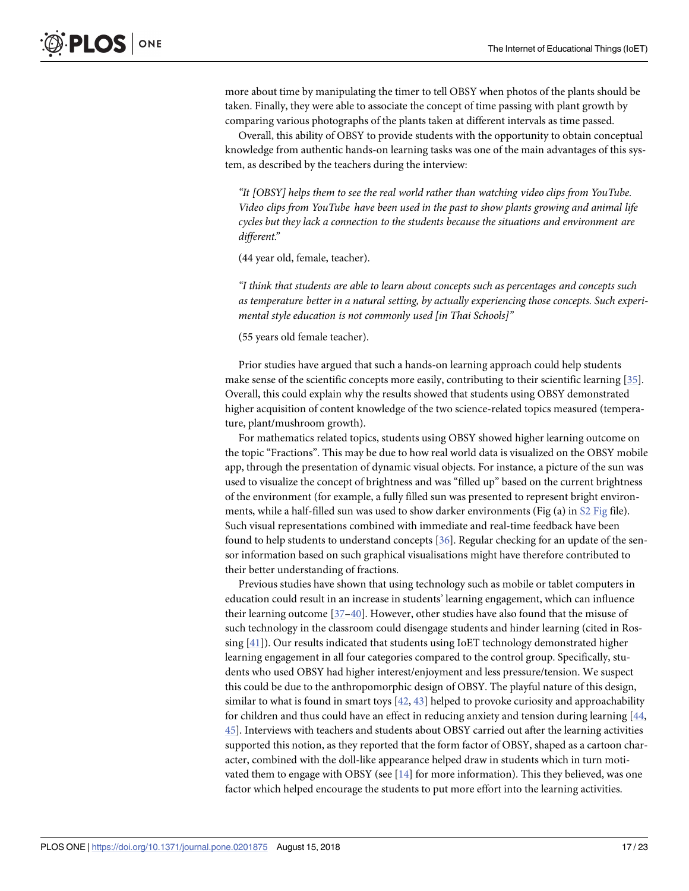<span id="page-17-0"></span>more about time by manipulating the timer to tell OBSY when photos of the plants should be taken. Finally, they were able to associate the concept of time passing with plant growth by comparing various photographs of the plants taken at different intervals as time passed.

Overall, this ability of OBSY to provide students with the opportunity to obtain conceptual knowledge from authentic hands-on learning tasks was one of the main advantages of this system, as described by the teachers during the interview:

"It [OBSY] helps them to see the real world rather than watching video clips from YouTube. Video clips from YouTube have been used in the past to show plants growing and animal life cycles but they lack a connection to the students because the situations and environment are different."

(44 year old, female, teacher).

"I think that students are able to learn about concepts such as percentages and concepts such as temperature better in a natural setting, by actually experiencing those concepts. Such experimental style education is not commonly used [in Thai Schools]"

(55 years old female teacher).

Prior studies have argued that such a hands-on learning approach could help students make sense of the scientific concepts more easily, contributing to their scientific learning [\[35\]](#page-21-0). Overall, this could explain why the results showed that students using OBSY demonstrated higher acquisition of content knowledge of the two science-related topics measured (temperature, plant/mushroom growth).

For mathematics related topics, students using OBSY showed higher learning outcome on the topic "Fractions". This may be due to how real world data is visualized on the OBSY mobile app, through the presentation of dynamic visual objects. For instance, a picture of the sun was used to visualize the concept of brightness and was "filled up" based on the current brightness of the environment (for example, a fully filled sun was presented to represent bright environments, while a half-filled sun was used to show darker environments (Fig (a) in [S2 Fig](#page-19-0) file). Such visual representations combined with immediate and real-time feedback have been found to help students to understand concepts [\[36\]](#page-22-0). Regular checking for an update of the sensor information based on such graphical visualisations might have therefore contributed to their better understanding of fractions.

Previous studies have shown that using technology such as mobile or tablet computers in education could result in an increase in students' learning engagement, which can influence their learning outcome  $[37-40]$  $[37-40]$  $[37-40]$  $[37-40]$ . However, other studies have also found that the misuse of such technology in the classroom could disengage students and hinder learning (cited in Rossing [\[41\]](#page-22-0)). Our results indicated that students using IoET technology demonstrated higher learning engagement in all four categories compared to the control group. Specifically, students who used OBSY had higher interest/enjoyment and less pressure/tension. We suspect this could be due to the anthropomorphic design of OBSY. The playful nature of this design, similar to what is found in smart toys  $[42, 43]$  $[42, 43]$  $[42, 43]$  $[42, 43]$  $[42, 43]$  helped to provoke curiosity and approachability for children and thus could have an effect in reducing anxiety and tension during learning [\[44,](#page-22-0) [45\]](#page-22-0). Interviews with teachers and students about OBSY carried out after the learning activities supported this notion, as they reported that the form factor of OBSY, shaped as a cartoon character, combined with the doll-like appearance helped draw in students which in turn motivated them to engage with OBSY (see [\[14\]](#page-21-0) for more information). This they believed, was one factor which helped encourage the students to put more effort into the learning activities.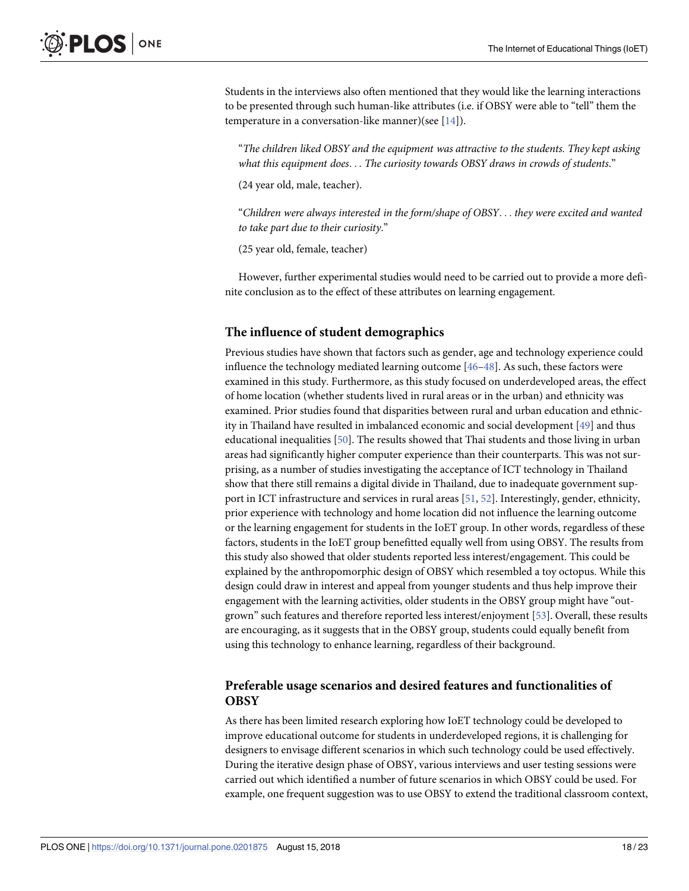<span id="page-18-0"></span>Students in the interviews also often mentioned that they would like the learning interactions to be presented through such human-like attributes (i.e. if OBSY were able to "tell" them the temperature in a conversation-like manner)(see [[14](#page-21-0)]).

"The children liked OBSY and the equipment was attractive to the students. They kept asking what this equipment does... The curiosity towards OBSY draws in crowds of students."

(24 year old, male, teacher).

"Children were always interested in the form/shape of OBSY. . . they were excited and wanted to take part due to their curiosity."

(25 year old, female, teacher)

However, further experimental studies would need to be carried out to provide a more definite conclusion as to the effect of these attributes on learning engagement.

#### **The influence of student demographics**

Previous studies have shown that factors such as gender, age and technology experience could influence the technology mediated learning outcome [\[46–48\]](#page-22-0). As such, these factors were examined in this study. Furthermore, as this study focused on underdeveloped areas, the effect of home location (whether students lived in rural areas or in the urban) and ethnicity was examined. Prior studies found that disparities between rural and urban education and ethnicity in Thailand have resulted in imbalanced economic and social development [\[49\]](#page-22-0) and thus educational inequalities [[50](#page-22-0)]. The results showed that Thai students and those living in urban areas had significantly higher computer experience than their counterparts. This was not surprising, as a number of studies investigating the acceptance of ICT technology in Thailand show that there still remains a digital divide in Thailand, due to inadequate government support in ICT infrastructure and services in rural areas [\[51,](#page-22-0) [52\]](#page-22-0). Interestingly, gender, ethnicity, prior experience with technology and home location did not influence the learning outcome or the learning engagement for students in the IoET group. In other words, regardless of these factors, students in the IoET group benefitted equally well from using OBSY. The results from this study also showed that older students reported less interest/engagement. This could be explained by the anthropomorphic design of OBSY which resembled a toy octopus. While this design could draw in interest and appeal from younger students and thus help improve their engagement with the learning activities, older students in the OBSY group might have "outgrown" such features and therefore reported less interest/enjoyment [\[53\]](#page-22-0). Overall, these results are encouraging, as it suggests that in the OBSY group, students could equally benefit from using this technology to enhance learning, regardless of their background.

#### **Preferable usage scenarios and desired features and functionalities of OBSY**

As there has been limited research exploring how IoET technology could be developed to improve educational outcome for students in underdeveloped regions, it is challenging for designers to envisage different scenarios in which such technology could be used effectively. During the iterative design phase of OBSY, various interviews and user testing sessions were carried out which identified a number of future scenarios in which OBSY could be used. For example, one frequent suggestion was to use OBSY to extend the traditional classroom context,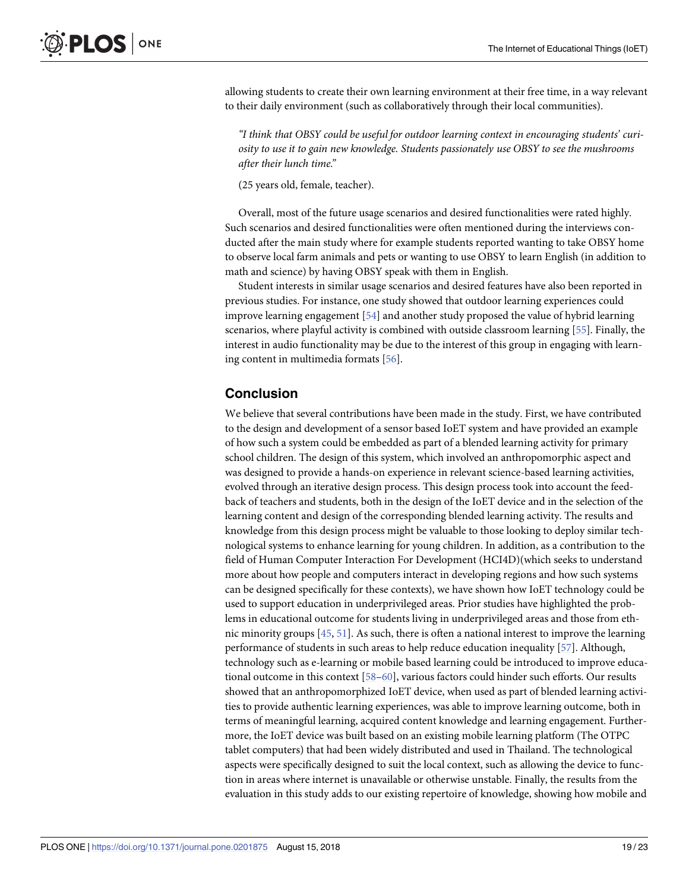<span id="page-19-0"></span>allowing students to create their own learning environment at their free time, in a way relevant to their daily environment (such as collaboratively through their local communities).

"I think that OBSY could be useful for outdoor learning context in encouraging students' curiosity to use it to gain new knowledge. Students passionately use OBSY to see the mushrooms after their lunch time."

(25 years old, female, teacher).

Overall, most of the future usage scenarios and desired functionalities were rated highly. Such scenarios and desired functionalities were often mentioned during the interviews conducted after the main study where for example students reported wanting to take OBSY home to observe local farm animals and pets or wanting to use OBSY to learn English (in addition to math and science) by having OBSY speak with them in English.

Student interests in similar usage scenarios and desired features have also been reported in previous studies. For instance, one study showed that outdoor learning experiences could improve learning engagement [\[54\]](#page-22-0) and another study proposed the value of hybrid learning scenarios, where playful activity is combined with outside classroom learning [[55](#page-22-0)]. Finally, the interest in audio functionality may be due to the interest of this group in engaging with learning content in multimedia formats [[56](#page-22-0)].

#### **Conclusion**

We believe that several contributions have been made in the study. First, we have contributed to the design and development of a sensor based IoET system and have provided an example of how such a system could be embedded as part of a blended learning activity for primary school children. The design of this system, which involved an anthropomorphic aspect and was designed to provide a hands-on experience in relevant science-based learning activities, evolved through an iterative design process. This design process took into account the feedback of teachers and students, both in the design of the IoET device and in the selection of the learning content and design of the corresponding blended learning activity. The results and knowledge from this design process might be valuable to those looking to deploy similar technological systems to enhance learning for young children. In addition, as a contribution to the field of Human Computer Interaction For Development (HCI4D)(which seeks to understand more about how people and computers interact in developing regions and how such systems can be designed specifically for these contexts), we have shown how IoET technology could be used to support education in underprivileged areas. Prior studies have highlighted the problems in educational outcome for students living in underprivileged areas and those from ethnic minority groups [\[45,](#page-22-0) [51\]](#page-22-0). As such, there is often a national interest to improve the learning performance of students in such areas to help reduce education inequality [[57](#page-22-0)]. Although, technology such as e-learning or mobile based learning could be introduced to improve educational outcome in this context [[58](#page-22-0)–[60\]](#page-22-0), various factors could hinder such efforts. Our results showed that an anthropomorphized IoET device, when used as part of blended learning activities to provide authentic learning experiences, was able to improve learning outcome, both in terms of meaningful learning, acquired content knowledge and learning engagement. Furthermore, the IoET device was built based on an existing mobile learning platform (The OTPC tablet computers) that had been widely distributed and used in Thailand. The technological aspects were specifically designed to suit the local context, such as allowing the device to function in areas where internet is unavailable or otherwise unstable. Finally, the results from the evaluation in this study adds to our existing repertoire of knowledge, showing how mobile and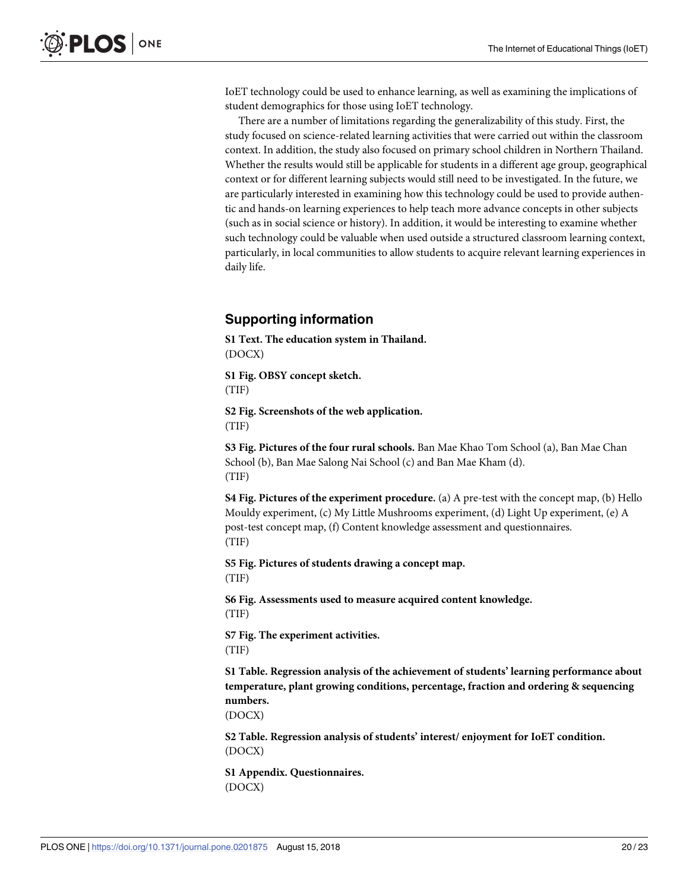<span id="page-20-0"></span>IoET technology could be used to enhance learning, as well as examining the implications of student demographics for those using IoET technology.

There are a number of limitations regarding the generalizability of this study. First, the study focused on science-related learning activities that were carried out within the classroom context. In addition, the study also focused on primary school children in Northern Thailand. Whether the results would still be applicable for students in a different age group, geographical context or for different learning subjects would still need to be investigated. In the future, we are particularly interested in examining how this technology could be used to provide authentic and hands-on learning experiences to help teach more advance concepts in other subjects (such as in social science or history). In addition, it would be interesting to examine whether such technology could be valuable when used outside a structured classroom learning context, particularly, in local communities to allow students to acquire relevant learning experiences in daily life.

#### **Supporting information**

**[S1 Text](http://www.plosone.org/article/fetchSingleRepresentation.action?uri=info:doi/10.1371/journal.pone.0201875.s001). The education system in Thailand.** (DOCX)

**[S1 Fig](http://www.plosone.org/article/fetchSingleRepresentation.action?uri=info:doi/10.1371/journal.pone.0201875.s002). OBSY concept sketch.** (TIF)

**[S2 Fig](http://www.plosone.org/article/fetchSingleRepresentation.action?uri=info:doi/10.1371/journal.pone.0201875.s003). Screenshots of the web application.** (TIF)

**[S3 Fig](http://www.plosone.org/article/fetchSingleRepresentation.action?uri=info:doi/10.1371/journal.pone.0201875.s004). Pictures of the four rural schools.** Ban Mae Khao Tom School (a), Ban Mae Chan School (b), Ban Mae Salong Nai School (c) and Ban Mae Kham (d). (TIF)

**[S4 Fig](http://www.plosone.org/article/fetchSingleRepresentation.action?uri=info:doi/10.1371/journal.pone.0201875.s005). Pictures of the experiment procedure.** (a) A pre-test with the concept map, (b) Hello Mouldy experiment, (c) My Little Mushrooms experiment, (d) Light Up experiment, (e) A post-test concept map, (f) Content knowledge assessment and questionnaires. (TIF)

**[S5 Fig](http://www.plosone.org/article/fetchSingleRepresentation.action?uri=info:doi/10.1371/journal.pone.0201875.s006). Pictures of students drawing a concept map.** (TIF)

**[S6 Fig](http://www.plosone.org/article/fetchSingleRepresentation.action?uri=info:doi/10.1371/journal.pone.0201875.s007). Assessments used to measure acquired content knowledge.** (TIF)

**[S7 Fig](http://www.plosone.org/article/fetchSingleRepresentation.action?uri=info:doi/10.1371/journal.pone.0201875.s008). The experiment activities.** (TIF)

**[S1 Table.](http://www.plosone.org/article/fetchSingleRepresentation.action?uri=info:doi/10.1371/journal.pone.0201875.s009) Regression analysis of the achievement of students' learning performance about temperature, plant growing conditions, percentage, fraction and ordering & sequencing numbers.**

(DOCX)

**[S2 Table.](http://www.plosone.org/article/fetchSingleRepresentation.action?uri=info:doi/10.1371/journal.pone.0201875.s010) Regression analysis of students' interest/ enjoyment for IoET condition.** (DOCX)

**[S1 Appendix](http://www.plosone.org/article/fetchSingleRepresentation.action?uri=info:doi/10.1371/journal.pone.0201875.s011). Questionnaires.** (DOCX)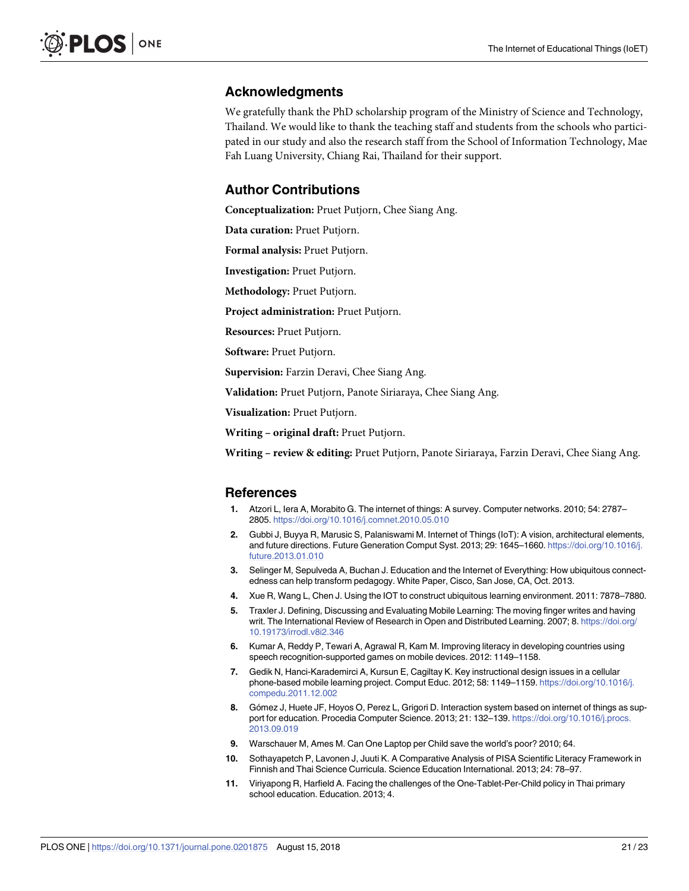#### <span id="page-21-0"></span>**Acknowledgments**

We gratefully thank the PhD scholarship program of the Ministry of Science and Technology, Thailand. We would like to thank the teaching staff and students from the schools who participated in our study and also the research staff from the School of Information Technology, Mae Fah Luang University, Chiang Rai, Thailand for their support.

#### **Author Contributions**

**Conceptualization:** Pruet Putjorn, Chee Siang Ang.

**Data curation:** Pruet Putjorn.

**Formal analysis:** Pruet Putjorn.

**Investigation:** Pruet Putjorn.

**Methodology:** Pruet Putjorn.

**Project administration:** Pruet Putjorn.

**Resources:** Pruet Putjorn.

**Software:** Pruet Putjorn.

**Supervision:** Farzin Deravi, Chee Siang Ang.

**Validation:** Pruet Putjorn, Panote Siriaraya, Chee Siang Ang.

**Visualization:** Pruet Putjorn.

**Writing – original draft:** Pruet Putjorn.

**Writing – review & editing:** Pruet Putjorn, Panote Siriaraya, Farzin Deravi, Chee Siang Ang.

#### **References**

- **[1](#page-0-0).** Atzori L, Iera A, Morabito G. The internet of things: A survey. Computer networks. 2010; 54: 2787– 2805. <https://doi.org/10.1016/j.comnet.2010.05.010>
- **[2](#page-0-0).** Gubbi J, Buyya R, Marusic S, Palaniswami M. Internet of Things (IoT): A vision, architectural elements, and future directions. Future Generation Comput Syst. 2013; 29: 1645–1660. [https://doi.org/10.1016/j.](https://doi.org/10.1016/j.future.2013.01.010) [future.2013.01.010](https://doi.org/10.1016/j.future.2013.01.010)
- **[3](#page-0-0).** Selinger M, Sepulveda A, Buchan J. Education and the Internet of Everything: How ubiquitous connectedness can help transform pedagogy. White Paper, Cisco, San Jose, CA, Oct. 2013.
- **[4](#page-0-0).** Xue R, Wang L, Chen J. Using the IOT to construct ubiquitous learning environment. 2011: 7878–7880.
- **[5](#page-1-0).** Traxler J. Defining, Discussing and Evaluating Mobile Learning: The moving finger writes and having writ. The International Review of Research in Open and Distributed Learning. 2007; 8. [https://doi.org/](https://doi.org/10.19173/irrodl.v8i2.346) [10.19173/irrodl.v8i2.346](https://doi.org/10.19173/irrodl.v8i2.346)
- **6.** Kumar A, Reddy P, Tewari A, Agrawal R, Kam M. Improving literacy in developing countries using speech recognition-supported games on mobile devices. 2012: 1149–1158.
- **[7](#page-1-0).** Gedik N, Hanci-Karademirci A, Kursun E, Cagiltay K. Key instructional design issues in a cellular phone-based mobile learning project. Comput Educ. 2012; 58: 1149–1159. [https://doi.org/10.1016/j.](https://doi.org/10.1016/j.compedu.2011.12.002) [compedu.2011.12.002](https://doi.org/10.1016/j.compedu.2011.12.002)
- **[8](#page-1-0).** Gómez J, Huete JF, Hoyos O, Perez L, Grigori D. Interaction system based on internet of things as support for education. Procedia Computer Science. 2013; 21: 132–139. [https://doi.org/10.1016/j.procs.](https://doi.org/10.1016/j.procs.2013.09.019) [2013.09.019](https://doi.org/10.1016/j.procs.2013.09.019)
- **[9](#page-1-0).** Warschauer M, Ames M. Can One Laptop per Child save the world's poor? 2010; 64.
- **[10](#page-1-0).** Sothayapetch P, Lavonen J, Juuti K. A Comparative Analysis of PISA Scientific Literacy Framework in Finnish and Thai Science Curricula. Science Education International. 2013; 24: 78–97.
- **[11](#page-1-0).** Viriyapong R, Harfield A. Facing the challenges of the One-Tablet-Per-Child policy in Thai primary school education. Education. 2013; 4.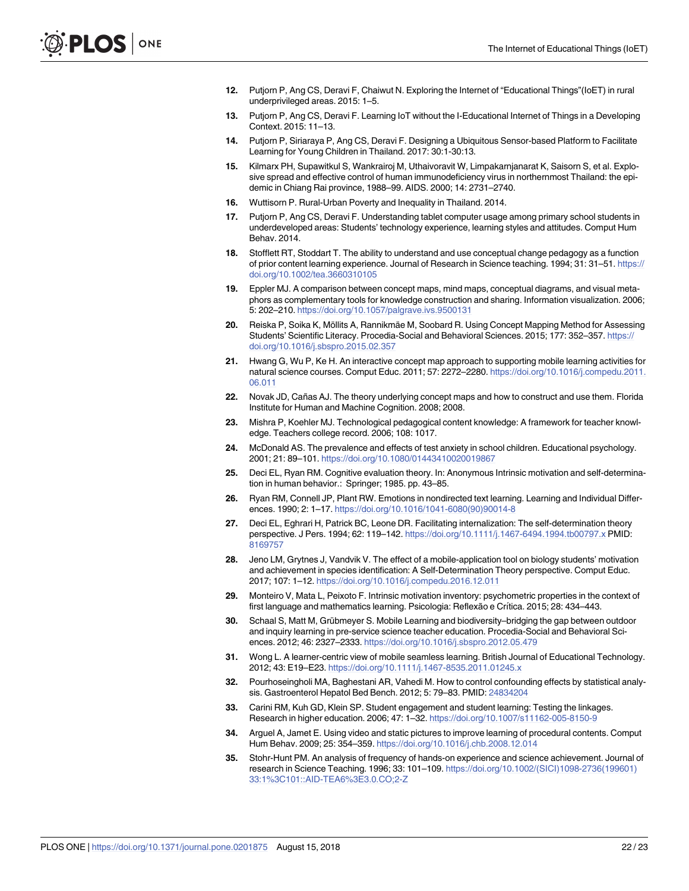- <span id="page-22-0"></span>**[12](#page-1-0).** Putjorn P, Ang CS, Deravi F, Chaiwut N. Exploring the Internet of "Educational Things"(IoET) in rural underprivileged areas. 2015: 1–5.
- **[13](#page-1-0).** Putjorn P, Ang CS, Deravi F. Learning IoT without the I-Educational Internet of Things in a Developing Context. 2015: 11–13.
- **[14](#page-3-0).** Putjorn P, Siriaraya P, Ang CS, Deravi F. Designing a Ubiquitous Sensor-based Platform to Facilitate Learning for Young Children in Thailand. 2017: 30:1-30:13.
- **[15](#page-4-0).** Kilmarx PH, Supawitkul S, Wankrairoj M, Uthaivoravit W, Limpakarnjanarat K, Saisorn S, et al. Explosive spread and effective control of human immunodeficiency virus in northernmost Thailand: the epidemic in Chiang Rai province, 1988–99. AIDS. 2000; 14: 2731–2740.
- **[16](#page-4-0).** Wuttisorn P. Rural-Urban Poverty and Inequality in Thailand. 2014.
- **[17](#page-7-0).** Putjorn P, Ang CS, Deravi F. Understanding tablet computer usage among primary school students in underdeveloped areas: Students' technology experience, learning styles and attitudes. Comput Hum Behav. 2014.
- **[18](#page-8-0).** Stofflett RT, Stoddart T. The ability to understand and use conceptual change pedagogy as a function of prior content learning experience. Journal of Research in Science teaching. 1994; 31: 31–51. [https://](https://doi.org/10.1002/tea.3660310105) [doi.org/10.1002/tea.3660310105](https://doi.org/10.1002/tea.3660310105)
- **[19](#page-8-0).** Eppler MJ. A comparison between concept maps, mind maps, conceptual diagrams, and visual metaphors as complementary tools for knowledge construction and sharing. Information visualization. 2006; 5: 202–210. <https://doi.org/10.1057/palgrave.ivs.9500131>
- [20](#page-8-0). Reiska P, Soika K, Möllits A, Rannikmäe M, Soobard R. Using Concept Mapping Method for Assessing Students' Scientific Literacy. Procedia-Social and Behavioral Sciences. 2015; 177: 352–357. [https://](https://doi.org/10.1016/j.sbspro.2015.02.357) [doi.org/10.1016/j.sbspro.2015.02.357](https://doi.org/10.1016/j.sbspro.2015.02.357)
- **[21](#page-8-0).** Hwang G, Wu P, Ke H. An interactive concept map approach to supporting mobile learning activities for natural science courses. Comput Educ. 2011; 57: 2272–2280. [https://doi.org/10.1016/j.compedu.2011.](https://doi.org/10.1016/j.compedu.2011.06.011) [06.011](https://doi.org/10.1016/j.compedu.2011.06.011)
- **[22](#page-8-0).** Novak JD, Cañas AJ. The theory underlying concept maps and how to construct and use them. Florida Institute for Human and Machine Cognition. 2008; 2008.
- **[23](#page-8-0).** Mishra P, Koehler MJ. Technological pedagogical content knowledge: A framework for teacher knowledge. Teachers college record. 2006; 108: 1017.
- **[24](#page-8-0).** McDonald AS. The prevalence and effects of test anxiety in school children. Educational psychology. 2001; 21: 89–101. <https://doi.org/10.1080/01443410020019867>
- **[25](#page-9-0).** Deci EL, Ryan RM. Cognitive evaluation theory. In: Anonymous Intrinsic motivation and self-determination in human behavior.: Springer; 1985. pp. 43–85.
- **26.** Ryan RM, Connell JP, Plant RW. Emotions in nondirected text learning. Learning and Individual Differences. 1990; 2: 1–17. [https://doi.org/10.1016/1041-6080\(90\)90014-8](https://doi.org/10.1016/1041-6080(90)90014-8)
- **[27](#page-9-0).** Deci EL, Eghrari H, Patrick BC, Leone DR. Facilitating internalization: The self-determination theory perspective. J Pers. 1994; 62: 119–142. <https://doi.org/10.1111/j.1467-6494.1994.tb00797.x> PMID: [8169757](http://www.ncbi.nlm.nih.gov/pubmed/8169757)
- **[28](#page-9-0).** Jeno LM, Grytnes J, Vandvik V. The effect of a mobile-application tool on biology students' motivation and achievement in species identification: A Self-Determination Theory perspective. Comput Educ. 2017; 107: 1–12. <https://doi.org/10.1016/j.compedu.2016.12.011>
- **29.** Monteiro V, Mata L, Peixoto F. Intrinsic motivation inventory: psychometric properties in the context of first language and mathematics learning. Psicologia: Reflexão e Crítica. 2015; 28: 434-443.
- **[30](#page-9-0).** Schaal S, Matt M, Grübmeyer S. Mobile Learning and biodiversity–bridging the gap between outdoor and inquiry learning in pre-service science teacher education. Procedia-Social and Behavioral Sciences. 2012; 46: 2327–2333. <https://doi.org/10.1016/j.sbspro.2012.05.479>
- **[31](#page-9-0).** Wong L. A learner-centric view of mobile seamless learning. British Journal of Educational Technology. 2012; 43: E19–E23. <https://doi.org/10.1111/j.1467-8535.2011.01245.x>
- **[32](#page-11-0).** Pourhoseingholi MA, Baghestani AR, Vahedi M. How to control confounding effects by statistical analysis. Gastroenterol Hepatol Bed Bench. 2012; 5: 79–83. PMID: [24834204](http://www.ncbi.nlm.nih.gov/pubmed/24834204)
- **[33](#page-13-0).** Carini RM, Kuh GD, Klein SP. Student engagement and student learning: Testing the linkages. Research in higher education. 2006; 47: 1–32. <https://doi.org/10.1007/s11162-005-8150-9>
- **[34](#page-15-0).** Arguel A, Jamet E. Using video and static pictures to improve learning of procedural contents. Comput Hum Behav. 2009; 25: 354–359. <https://doi.org/10.1016/j.chb.2008.12.014>
- **[35](#page-16-0).** Stohr-Hunt PM. An analysis of frequency of hands-on experience and science achievement. Journal of research in Science Teaching. 1996; 33: 101–109. [https://doi.org/10.1002/\(SICI\)1098-2736\(199601\)](https://doi.org/10.1002/(SICI)1098-2736(199601)33:1%3C101::AID-TEA6%3E3.0.CO;2-Z) [33:1%3C101::AID-TEA6%3E3.0.CO;2-Z](https://doi.org/10.1002/(SICI)1098-2736(199601)33:1%3C101::AID-TEA6%3E3.0.CO;2-Z)